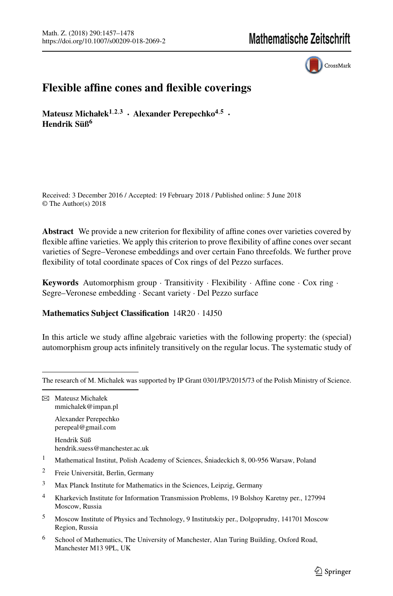CrossMark

# **Flexible affine cones and flexible coverings**

**Mateusz Michałek**<sup> $1,2,3$ </sup> **· Alexander Perepechko**<sup> $4,5$ </sup> **· Hendrik Süß6**

Received: 3 December 2016 / Accepted: 19 February 2018 / Published online: 5 June 2018 © The Author(s) 2018

**Abstract** We provide a new criterion for flexibility of affine cones over varieties covered by flexible affine varieties. We apply this criterion to prove flexibility of affine cones over secant varieties of Segre–Veronese embeddings and over certain Fano threefolds. We further prove flexibility of total coordinate spaces of Cox rings of del Pezzo surfaces.

**Keywords** Automorphism group · Transitivity · Flexibility · Affine cone · Cox ring · Segre–Veronese embedding · Secant variety · Del Pezzo surface

# **Mathematics Subject Classification** 14R20 · 14J50

In this article we study affine algebraic varieties with the following property: the (special) automorphism group acts infinitely transitively on the regular locus. The systematic study of

Alexander Perepechko perepeal@gmail.com

Hendrik Süß hendrik.suess@manchester.ac.uk

- <sup>1</sup> Mathematical Institut, Polish Academy of Sciences, Śniadeckich 8, 00-956 Warsaw, Poland
- <sup>2</sup> Freie Universität, Berlin, Germany
- <sup>3</sup> Max Planck Institute for Mathematics in the Sciences, Leipzig, Germany
- <sup>4</sup> Kharkevich Institute for Information Transmission Problems, 19 Bolshoy Karetny per., 127994 Moscow, Russia
- <sup>5</sup> Moscow Institute of Physics and Technology, 9 Institutskiy per., Dolgoprudny, 141701 Moscow Region, Russia
- <sup>6</sup> School of Mathematics, The University of Manchester, Alan Turing Building, Oxford Road, Manchester M13 9PL, UK

The research of M. Michalek was supported by IP Grant 0301/IP3/2015/73 of the Polish Ministry of Science.

 $\boxtimes$  Mateusz Michałek mmichalek@impan.pl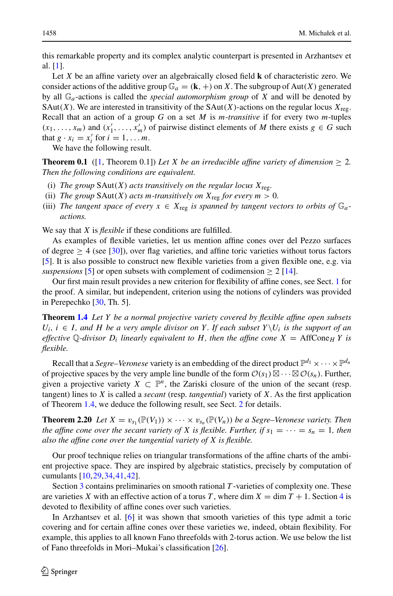this remarkable property and its complex analytic counterpart is presented in Arzhantsev et al. [\[1\]](#page-19-0).

Let *X* be an affine variety over an algebraically closed field **k** of characteristic zero. We consider actions of the additive group  $\mathbb{G}_a = (\mathbf{k}, +)$  on *X*. The subgroup of Aut(*X*) generated by all G*a*-actions is called the *special automorphism group* of *X* and will be denoted by SAut(*X*). We are interested in transitivity of the SAut(*X*)-actions on the regular locus  $X_{\text{rec}}$ . Recall that an action of a group *G* on a set *M* is *m*-*transitive* if for every two *m*-tuples  $(x_1, \ldots, x_m)$  and  $(x'_1, \ldots, x'_m)$  of pairwise distinct elements of *M* there exists  $g \in G$  such that  $g \cdot x_i = x'_i$  for  $i = 1, \ldots m$ .

We have the following result.

**Theorem 0.1** ([\[1](#page-19-0), Theorem 0.1]) Let X be an irreducible affine variety of dimension  $\geq 2$ . *Then the following conditions are equivalent.*

- (i) *The group*  $SAut(X)$  *acts transitively on the regular locus*  $X_{\text{reg}}$ *.*
- (ii) *The group*  $SAut(X)$  *acts m-transitively on*  $X_{reg}$  *for every m* > 0*.*
- (iii) *The tangent space of every*  $x \in X_{\text{reg}}$  *is spanned by tangent vectors to orbits of*  $\mathbb{G}_a$ *actions.*

We say that *X* is *flexible* if these conditions are fulfilled.

As examples of flexible varieties, let us mention affine cones over del Pezzo surfaces of degree  $\geq$  4 (see [\[30](#page-20-0)]), over flag varieties, and affine toric varieties without torus factors [\[5](#page-19-1)]. It is also possible to construct new flexible varieties from a given flexible one, e.g. via *suspensions* [\[5\]](#page-19-1) or open subsets with complement of codimension  $\geq 2$  [\[14\]](#page-20-1).

Our first main result provides a new criterion for flexibility of affine cones, see Sect. [1](#page-2-0) for the proof. A similar, but independent, criterion using the notions of cylinders was provided in Perepechko [\[30,](#page-20-0) Th. 5].

**Theorem [1.4](#page-3-0)** *Let Y be a normal projective variety covered by flexible affine open subsets*  $U_i$ ,  $i \in I$ , and H be a very ample divisor on Y. If each subset  $Y \setminus U_i$  is the support of an *effective*  $\mathbb{Q}$ -divisor  $D_i$  linearly equivalent to H, then the affine cone  $X = \text{AffCone}_H Y$  is *flexible.*

Recall that a *Segre–Veronese* variety is an embedding of the direct product  $\mathbb{P}^{d_1} \times \cdots \times \mathbb{P}^{d_n}$ of projective spaces by the very ample line bundle of the form  $\mathcal{O}(s_1) \boxtimes \cdots \boxtimes \mathcal{O}(s_n)$ . Further, given a projective variety  $X \subset \mathbb{P}^n$ , the Zariski closure of the union of the secant (resp. tangent) lines to *X* is called a *secant* (resp. *tangential*) variety of *X*. As the first application of Theorem [1.4,](#page-3-0) we deduce the following result, see Sect. [2](#page-5-0) for details.

**Theorem 2.20** *Let*  $X = v_{s_1}(\mathbb{P}(V_1)) \times \cdots \times v_{s_n}(\mathbb{P}(V_n))$  *be a Segre–Veronese variety. Then the affine cone over the secant variety of X is flexible. Further, if*  $s_1 = \cdots = s_n = 1$ *, then also the affine cone over the tangential variety of X is flexible.*

Our proof technique relies on triangular transformations of the affine charts of the ambient projective space. They are inspired by algebraic statistics, precisely by computation of cumulants [\[10](#page-20-2)[,29,](#page-20-3)[34](#page-20-4)[,41,](#page-21-0)[42](#page-21-1)].

Section [3](#page-11-0) contains preliminaries on smooth rational *T* -varieties of complexity one. These are varieties X with an effective action of a torus T, where dim  $X = \dim T + 1$ . Section [4](#page-13-0) is devoted to flexibility of affine cones over such varieties.

In Arzhantsev et al. [\[6\]](#page-19-2) it was shown that smooth varieties of this type admit a toric covering and for certain affine cones over these varieties we, indeed, obtain flexibility. For example, this applies to all known Fano threefolds with 2-torus action. We use below the list of Fano threefolds in Mori–Mukai's classification [\[26](#page-20-5)].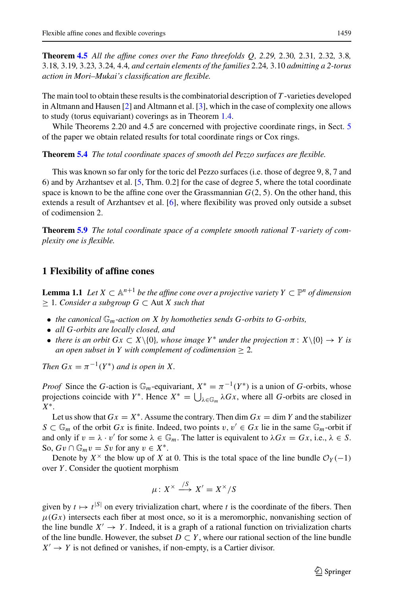**Theorem [4.5](#page-14-0)** *All the affine cones over the Fano threefolds Q, 2.29,* 2.30*,* 2.31*,* 2.32*,* 3.8*,* 3.18*,* 3.19*,* 3.23*,* 3.24*,* 4.4*, and certain elements of the families* 2.24*,* 3.10 *admitting a 2-torus action in Mori–Mukai's classification are flexible.*

The main tool to obtain these results is the combinatorial description of *T* -varieties developed in Altmann and Hausen [\[2](#page-19-3)] and Altmann et al. [\[3\]](#page-19-4), which in the case of complexity one allows to study (torus equivariant) coverings as in Theorem [1.4.](#page-3-0)

While Theorems 2.20 and 4.[5](#page-15-0) are concerned with projective coordinate rings, in Sect. 5 of the paper we obtain related results for total coordinate rings or Cox rings.

**Theorem [5.4](#page-16-0)** *The total coordinate spaces of smooth del Pezzo surfaces are flexible.*

This was known so far only for the toric del Pezzo surfaces (i.e. those of degree 9, 8, 7 and 6) and by Arzhantsev et al. [\[5](#page-19-1), Thm. 0.2] for the case of degree 5, where the total coordinate space is known to be the affine cone over the Grassmannian  $G(2, 5)$ . On the other hand, this extends a result of Arzhantsev et al. [\[6](#page-19-2)], where flexibility was proved only outside a subset of codimension 2.

**Theorem [5.9](#page-18-0)** *The total coordinate space of a complete smooth rational T -variety of complexity one is flexible.*

### <span id="page-2-0"></span>**1 Flexibility of affine cones**

<span id="page-2-1"></span>**Lemma 1.1** *Let*  $X \subset \mathbb{A}^{n+1}$  *be the affine cone over a projective variety*  $Y \subset \mathbb{P}^n$  *of dimension* ≥ 1*. Consider a subgroup G* ⊂ Aut *X such that*

- *the canonical* <sup>G</sup>*m-action on X by homotheties sends G-orbits to G-orbits,*
- *all G-orbits are locally closed, and*
- *there is an orbit Gx*  $\subset X\setminus\{0\}$ *, whose image*  $Y^*$  *under the projection*  $\pi: X\setminus\{0\} \to Y$  *is an open subset in Y with complement of codimension*  $\geq$  2*.*

*Then*  $Gx = \pi^{-1}(Y^*)$  *and is open in* X.

*Proof* Since the *G*-action is  $\mathbb{G}_m$ -equivariant,  $X^* = \pi^{-1}(Y^*)$  is a union of *G*-orbits, whose projections coincide with *Y*<sup>\*</sup>. Hence  $X^* = \bigcup_{\lambda \in \mathbb{G}_m} \lambda Gx$ , where all *G*-orbits are closed in *X*∗.

Let us show that  $Gx = X^*$ . Assume the contrary. Then dim  $Gx = \dim Y$  and the stabilizer *S* ⊂  $\mathbb{G}_m$  of the orbit *Gx* is finite. Indeed, two points  $v, v' \in Gx$  lie in the same  $\mathbb{G}_m$ -orbit if and only if  $v = \lambda \cdot v'$  for some  $\lambda \in \mathbb{G}_m$ . The latter is equivalent to  $\lambda Gx = Gx$ , i.e.,  $\lambda \in S$ . So,  $Gv \cap \mathbb{G}_m v = Sv$  for any  $v \in X^*$ .

Denote by  $X^{\times}$  the blow up of *X* at 0. This is the total space of the line bundle  $\mathcal{O}_Y(-1)$ over *Y* . Consider the quotient morphism

$$
\mu\colon X^{\times}\xrightarrow{/S} X'=X^{\times}/S
$$

given by  $t \mapsto t^{|S|}$  on every trivialization chart, where *t* is the coordinate of the fibers. Then  $\mu(Gx)$  intersects each fiber at most once, so it is a meromorphic, nonvanishing section of the line bundle  $X' \to Y$ . Indeed, it is a graph of a rational function on trivialization charts of the line bundle. However, the subset  $D \subset Y$ , where our rational section of the line bundle  $X' \to Y$  is not defined or vanishes, if non-empty, is a Cartier divisor.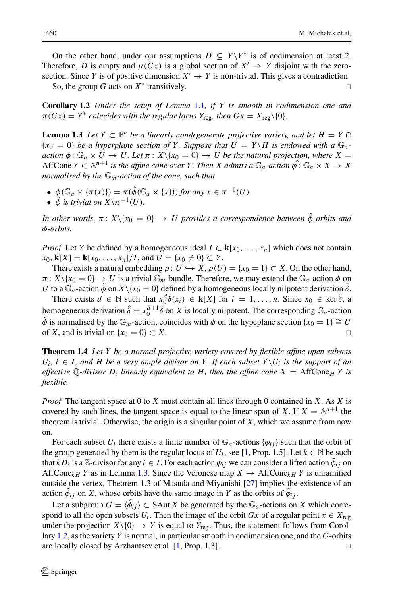On the other hand, under our assumptions  $D \subseteq Y \ Y^*$  is of codimension at least 2. Therefore, *D* is empty and  $\mu(Gx)$  is a global section of  $X' \to Y$  disjoint with the zerosection. Since *Y* is of positive dimension  $X' \to Y$  is non-trivial. This gives a contradiction.

So, the group *G* acts on  $X^*$  transitively.

<span id="page-3-2"></span>**Corollary 1.2** *Under the setup of Lemma* [1.1](#page-2-1)*, if Y is smooth in codimension one and*  $\pi(Gx) = Y^*$  *coincides with the regular locus*  $Y_{\text{reg}}$ *, then*  $Gx = X_{\text{reg}}\backslash\{0\}$ *.* 

<span id="page-3-1"></span>**Lemma 1.3** *Let*  $Y \subset \mathbb{P}^n$  *be a linearly nondegenerate projective variety, and let*  $H = Y \cap$  ${x_0 = 0}$  be a hyperplane section of Y. Suppose that  $U = Y \backslash H$  is endowed with a  $\mathbb{G}_a$ *action*  $\phi: \mathbb{G}_a \times U \to U$ . Let  $\pi: X \setminus \{x_0 = 0\} \to U$  be the natural projection, where X = AffCone  $Y \subset \mathbb{A}^{n+1}$  *is the affine cone over Y*. Then *X* admits a  $\mathbb{G}_a$ -action  $\hat{\phi}$ :  $\mathbb{G}_a \times X \to X$ *normalised by the* G*m-action of the cone, such that*

- $\phi(\mathbb{G}_a \times {\{\pi(x)\}}) = \pi(\hat{\phi}(\mathbb{G}_a \times \{x\}))$  *for any*  $x \in \pi^{-1}(U)$ *.*
- $\hat{\phi}$  *is trivial on*  $X\setminus \pi^{-1}(U)$ *.*

*In other words,*  $\pi$ :  $X\setminus\{x_0 = 0\} \rightarrow U$  provides a correspondence between  $\hat{\phi}$ -orbits and φ*-orbits.*

*Proof* Let *Y* be defined by a homogeneous ideal  $I \subset \mathbf{k}[x_0, \ldots, x_n]$  which does not contain  $x_0$ , **k**[*X*] = **k**[ $x_0$ , ...,  $x_n$ ]/*I*, and  $U = \{x_0 \neq 0\} \subset Y$ .

There exists a natural embedding  $\rho: U \hookrightarrow X$ ,  $\rho(U) = \{x_0 = 1\} \subset X$ . On the other hand,  $\pi: X\setminus\{x_0=0\} \to U$  is a trivial  $\mathbb{G}_m$ -bundle. Therefore, we may extend the  $\mathbb{G}_a$ -action  $\phi$  on *U* to a  $\mathbb{G}_a$ -action  $\phi$  on  $X \setminus \{x_0 = 0\}$  defined by a homogeneous locally nilpotent derivation  $\tilde{\delta}$ .

There exists  $d \in \mathbb{N}$  such that  $x_0^d \tilde{\delta}(x_i) \in \mathbf{k}[X]$  for  $i = 1, ..., n$ . Since  $x_0 \in \text{ker } \tilde{\delta}$ , a homogeneous derivation  $\hat{\delta} = x_0^{d+1} \tilde{\delta}$  on *X* is locally nilpotent. The corresponding  $\mathbb{G}_a$ -action  $\hat{\phi}$  is normalised by the  $\mathbb{G}_m$ -action, coincides with  $\phi$  on the hypeplane section {*x*<sub>0</sub> = 1}  $\cong U$  of *X*, and is trivial on {*x*<sub>0</sub> = 0}  $\subset X$ . of *X*, and is trivial on  $\{x_0 = 0\} \subset X$ .

<span id="page-3-0"></span>**Theorem 1.4** *Let Y be a normal projective variety covered by flexible affine open subsets*  $U_i$ ,  $i \in I$ , and H be a very ample divisor on Y. If each subset  $Y \setminus U_i$  is the support of an *effective* Q-divisor  $D_i$  linearly equivalent to H, then the affine cone  $X = \text{AffCone}_H Y$  is *flexible.*

*Proof* The tangent space at 0 to *X* must contain all lines through 0 contained in *X*. As *X* is covered by such lines, the tangent space is equal to the linear span of *X*. If  $X = \mathbb{A}^{n+1}$  the theorem is trivial. Otherwise, the origin is a singular point of *X*, which we assume from now on.

For each subset  $U_i$  there exists a finite number of  $\mathbb{G}_a$ -actions  $\{\phi_{ij}\}$  such that the orbit of the group generated by them is the regular locus of  $U_i$ , see [\[1,](#page-19-0) Prop. 1.5]. Let  $k \in \mathbb{N}$  be such that  $k D_i$  is a Z-divisor for any  $i \in I$ . For each action  $\phi_{ij}$  we can consider a lifted action  $\phi_{ij}$  on AffCone<sub>kH</sub> *Y* as in Lemma [1.3.](#page-3-1) Since the Veronese map  $X \to \text{AffCone}_{kH}$  *Y* is unramified outside the vertex, Theorem 1.3 of Masuda and Miyanishi [\[27\]](#page-20-6) implies the existence of an action  $\phi_{ij}$  on *X*, whose orbits have the same image in *Y* as the orbits of  $\phi_{ij}$ .

<span id="page-3-3"></span>Let a subgroup  $G = \langle \hat{\phi}_{ij} \rangle \subset$  SAut *X* be generated by the  $\mathbb{G}_a$ -actions on *X* which correspond to all the open subsets  $U_i$ . Then the image of the orbit  $Gx$  of a regular point  $x \in X_{\text{res}}$ under the projection  $X\setminus\{0\} \to Y$  is equal to  $Y_{reg}$ . Thus, the statement follows from Corollary [1.2,](#page-3-2) as the variety *Y* is normal, in particular smooth in codimension one, and the *G*-orbits are locally closed by Arzhantsev et al.  $[1,$  Prop. 1.3].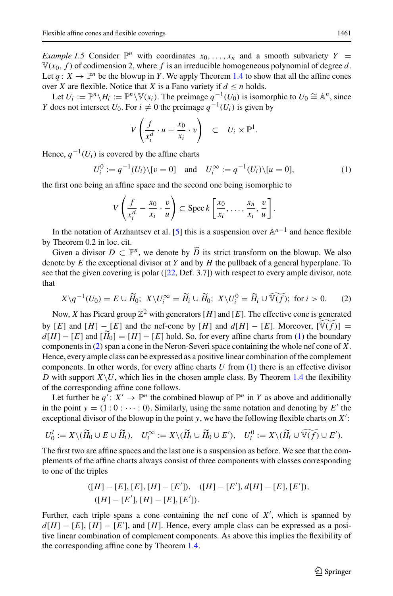*Example 1.5* Consider  $\mathbb{P}^n$  with coordinates  $x_0, \ldots, x_n$  and a smooth subvariety  $Y =$  $V(x_0, f)$  of codimension 2, where f is an irreducible homogeneous polynomial of degree d. Let  $q: X \to \mathbb{P}^n$  be the blowup in *Y*. We apply Theorem [1.4](#page-3-0) to show that all the affine cones over *X* are flexible. Notice that *X* is a Fano variety if  $d \le n$  holds.

Let  $U_i := \mathbb{P}^n \setminus H_i := \mathbb{P}^n \setminus \mathbb{V}(x_i)$ . The preimage  $q^{-1}(U_0)$  is isomorphic to  $U_0 \cong \mathbb{A}^n$ , since *Y* does not intersect *U*<sub>0</sub>. For *i*  $\neq$  0 the preimage *q*<sup>-1</sup>(*U<sub>i</sub>*) is given by

$$
V\left(\frac{f}{x_i^d}\cdot u-\frac{x_0}{x_i}\cdot v\right) \quad \subset \quad U_i\times \mathbb{P}^1.
$$

Hence,  $q^{-1}(U_i)$  is covered by the affine charts

<span id="page-4-0"></span>
$$
U_i^0 := q^{-1}(U_i) \setminus [v = 0] \quad \text{and} \quad U_i^{\infty} := q^{-1}(U_i) \setminus [u = 0], \tag{1}
$$

the first one being an affine space and the second one being isomorphic to

$$
V\left(\frac{f}{x_i^d}-\frac{x_0}{x_i}\cdot\frac{v}{u}\right)\subset \operatorname{Spec} k\left[\frac{x_0}{x_i},\ldots,\frac{x_n}{x_i},\frac{v}{u}\right].
$$

In the notation of Arzhantsev et al. [\[5\]](#page-19-1) this is a suspension over A*n*−<sup>1</sup> and hence flexible by Theorem 0.2 in loc. cit.

Given a divisor  $D \subset \mathbb{P}^n$ , we denote by  $\widetilde{D}$  its strict transform on the blowup. We also denote by *E* the exceptional divisor at *Y* and by *H* the pullback of a general hyperplane. To see that the given covering is polar ([\[22](#page-20-7), Def. 3.7]) with respect to every ample divisor, note that

<span id="page-4-1"></span>
$$
X \setminus q^{-1}(U_0) = E \cup \widetilde{H}_0; \ X \setminus U_i^{\infty} = \widetilde{H}_i \cup \widetilde{H}_0; \ X \setminus U_i^0 = \widetilde{H}_i \cup \widetilde{\mathbb{V}(f)}; \text{ for } i > 0. \tag{2}
$$

Now, *X* has Picard group  $\mathbb{Z}^2$  with generators [H] and [E]. The effective cone is generated by  $[E]$  and  $[H] - [E]$  and the nef-cone by  $[H]$  and  $d[H] - [E]$ . Moreover,  $[\widetilde{\mathbb{V}(f)}] =$  $d[H] - [E]$  and  $[H_0] = [H] - [E]$  hold. So, for every affine charts from [\(1\)](#page-4-0) the boundary<br>comparate in (2) groups comp in the Negar Servery agrees containing the whole not some of  $V$ components in [\(2\)](#page-4-1) span a cone in the Neron-Severi space containing the whole nef cone of *X*. Hence, every ample class can be expressed as a positive linear combination of the complement components. In other words, for every affine charts *U* from [\(1\)](#page-4-0) there is an effective divisor *D* with support  $X\setminus U$ , which lies in the chosen ample class. By Theorem [1.4](#page-3-0) the flexibility of the corresponding affine cone follows.

Let further be  $q' : X' \to \mathbb{P}^n$  the combined blowup of  $\mathbb{P}^n$  in *Y* as above and additionally in the point  $y = (1:0: \dots: 0)$ . Similarly, using the same notation and denoting by  $E'$  the exceptional divisor of the blowup in the point *y*, we have the following flexible charts on *X*- :

$$
U_0^i := X \setminus (\widetilde{H}_0 \cup E \cup \widetilde{H}_i), \quad U_i^{\infty} := X \setminus (\widetilde{H}_i \cup \widetilde{H}_0 \cup E'), \quad U_i^0 := X \setminus (\widetilde{H}_i \cup \widetilde{\mathbb{V}(f)} \cup E').
$$

The first two are affine spaces and the last one is a suspension as before. We see that the complements of the affine charts always consist of three components with classes corresponding to one of the triples

$$
([H] - [E], [E], [H] - [E'], \quad ([H] - [E'], d[H] - [E], [E']).([H] - [E'], [H] - [E], [E']).
$$

Further, each triple spans a cone containing the nef cone of  $X'$ , which is spanned by  $d[H] - [E]$ ,  $[H] - [E']$ , and  $[H]$ . Hence, every ample class can be expressed as a positive linear combination of complement components. As above this implies the flexibility of the corresponding affine cone by Theorem [1.4.](#page-3-0)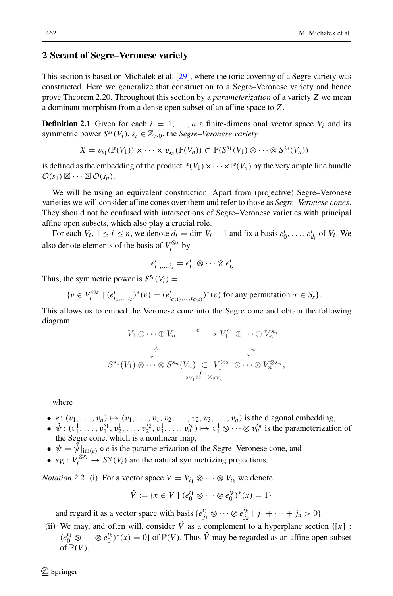## <span id="page-5-0"></span>**2 Secant of Segre–Veronese variety**

This section is based on Michalek et al. [\[29](#page-20-3)], where the toric covering of a Segre variety was constructed. Here we generalize that construction to a Segre–Veronese variety and hence prove Theorem 2.20. Throughout this section by a *parameterization* of a variety *Z* we mean a dominant morphism from a dense open subset of an affine space to *Z*.

**Definition 2.1** Given for each  $i = 1, ..., n$  a finite-dimensional vector space  $V_i$  and its symmetric power  $S^{s_i}(V_i)$ ,  $s_i \in \mathbb{Z}_{>0}$ , the *Segre–Veronese variety* 

$$
X = v_{s_1}(\mathbb{P}(V_1)) \times \cdots \times v_{s_n}(\mathbb{P}(V_n)) \subset \mathbb{P}(S^{s_1}(V_1) \otimes \cdots \otimes S^{s_n}(V_n))
$$

is defined as the embedding of the product  $\mathbb{P}(V_1)\times\cdots\times\mathbb{P}(V_n)$  by the very ample line bundle  $\mathcal{O}(s_1) \boxtimes \cdots \boxtimes \mathcal{O}(s_n).$ 

We will be using an equivalent construction. Apart from (projective) Segre–Veronese varieties we will consider affine cones over them and refer to those as *Segre–Veronese cones*. They should not be confused with intersections of Segre–Veronese varieties with principal affine open subsets, which also play a crucial role.

For each  $V_i$ ,  $1 \le i \le n$ , we denote  $d_i = \dim V_i - 1$  and fix a basis  $e_0^i, \ldots, e_{d_i}^i$  of  $V_i$ . We also denote elements of the basis of  $V_i^{\otimes s}$  by

$$
e_{i_1,\dots,i_s}^i=e_{i_1}^i\otimes\cdots\otimes e_{i_s}^i.
$$

Thus, the symmetric power is  $S^{s_i}(V_i)$  =

$$
\{v \in V_i^{\otimes s} \mid (e_{i_1,\ldots,i_s}^i)^*(v) = (e_{i_{\sigma(1)},\ldots,i_{\sigma(s)}}^i)^*(v) \text{ for any permutation } \sigma \in S_s\}.
$$

This allows us to embed the Veronese cone into the Segre cone and obtain the following diagram:

$$
V_1 \oplus \cdots \oplus V_n \xrightarrow{\quad e \quad} V_1^{s_1} \oplus \cdots \oplus V_n^{s_n}
$$

$$
\downarrow \psi \qquad \qquad \downarrow \tilde{\psi}
$$

$$
S^{s_1}(V_1) \otimes \cdots \otimes S^{s_n}(V_n) \subset V_1^{\otimes s_1} \otimes \cdots \otimes V_n^{\otimes s_n},
$$

$$
s_{V_1} \otimes \cdots \otimes s_{V_n}
$$

where

- $e: (v_1, \ldots, v_n) \mapsto (v_1, \ldots, v_1, v_2, \ldots, v_2, v_3, \ldots, v_n)$  is the diagonal embedding,
- $\tilde{\psi}: (v_1^1, \ldots, v_1^{s_1}, v_2^1, \ldots, v_2^{s_2}, v_3^1, \ldots, v_n^{s_n}) \mapsto v_1^1 \otimes \cdots \otimes v_n^{s_n}$  is the parameterization of the Segre cone, which is a nonlinear map,
- $\psi = \tilde{\psi}|_{\text{im}(e)} \circ e$  is the parameterization of the Segre–Veronese cone, and
- $s_{V_i}: V_i^{\otimes s_i} \to S^{s_i}(V_i)$  are the natural symmetrizing projections.

*Notation 2.2* (i) For a vector space  $V = V_{i_1} \otimes \cdots \otimes V_{i_k}$  we denote

$$
\hat{V} := \{ x \in V \mid (e_0^{i_1} \otimes \cdots \otimes e_0^{i_k})^*(x) = 1 \}
$$

and regard it as a vector space with basis  $\{e_{j_1}^{i_1} \otimes \cdots \otimes e_{j_k}^{i_k} \mid j_1 + \cdots + j_n > 0\}$ .

(ii) We may, and often will, consider  $\hat{V}$  as a complement to a hyperplane section {[x] :  $(e_0^{i_1} \otimes \cdots \otimes e_0^{i_k})^*(x) = 0$  of  $\mathbb{P}(V)$ . Thus  $\hat{V}$  may be regarded as an affine open subset of  $\mathbb{P}(V)$ .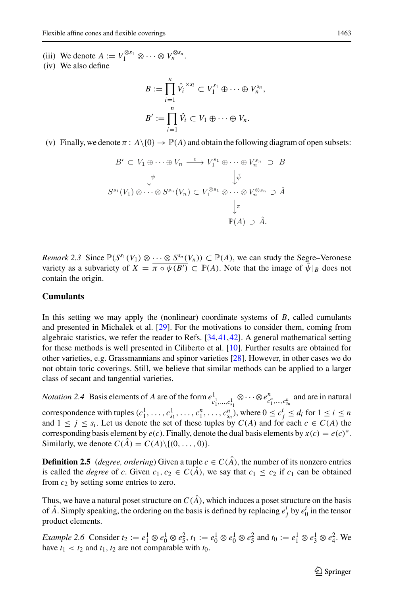- (iii) We denote  $A := V_1^{\otimes s_1} \otimes \cdots \otimes V_n^{\otimes s_n}$ .
- (iv) We also define

$$
B := \prod_{i=1}^n \hat{V}_i^{x s_i} \subset V_1^{s_1} \oplus \cdots \oplus V_n^{s_n},
$$
  

$$
B' := \prod_{i=1}^n \hat{V}_i \subset V_1 \oplus \cdots \oplus V_n.
$$

(v) Finally, we denote  $\pi$ :  $A \setminus \{0\} \to \mathbb{P}(A)$  and obtain the following diagram of open subsets:

$$
B' \subset V_1 \oplus \cdots \oplus V_n \xrightarrow{e} V_1^{s_1} \oplus \cdots \oplus V_n^{s_n} \supset B
$$
  
\n
$$
\downarrow \psi \qquad \qquad \downarrow \tilde{\psi}
$$
  
\n
$$
S^{s_1}(V_1) \otimes \cdots \otimes S^{s_n}(V_n) \subset V_1^{\otimes s_1} \otimes \cdots \otimes V_n^{\otimes s_n} \supset \hat{A}
$$
  
\n
$$
\downarrow \pi
$$
  
\n
$$
\mathbb{P}(A) \supset \hat{A}.
$$

*Remark 2.3* Since  $\mathbb{P}(S^{s_1}(V_1) \otimes \cdots \otimes S^{s_n}(V_n)) \subset \mathbb{P}(A)$ , we can study the Segre–Veronese variety as a subvariety of  $X = \overline{\pi \circ \psi(B')} \subset \mathbb{P}(A)$ . Note that the image of  $\tilde{\psi}|_B$  does not contain the origin.

### **Cumulants**

In this setting we may apply the (nonlinear) coordinate systems of *B*, called cumulants and presented in Michalek et al. [\[29](#page-20-3)]. For the motivations to consider them, coming from algebraic statistics, we refer the reader to Refs. [\[34](#page-20-4)[,41,](#page-21-0)[42](#page-21-1)]. A general mathematical setting for these methods is well presented in Ciliberto et al. [\[10\]](#page-20-2). Further results are obtained for other varieties, e.g. Grassmannians and spinor varieties [\[28](#page-20-8)]. However, in other cases we do not obtain toric coverings. Still, we believe that similar methods can be applied to a larger class of secant and tangential varieties.

*Notation 2.4* Basis elements of *A* are of the form  $e_{c_1^1,\ldots,c_{s_1}^1}^1 \otimes \cdots \otimes e_{c_1^n,\ldots,c_{s_n}^n}^n$  and are in natural correspondence with tuples  $(c_1^1, \ldots, c_{s_1}^1, \ldots, c_1^n, \ldots, c_{s_n}^n)$ , where  $0 \le c_j^i \le d_i$  for  $1 \le i \le n$ and  $1 \leq j \leq s_i$ . Let us denote the set of these tuples by  $C(A)$  and for each  $c \in C(A)$  the corresponding basis element by  $e(c)$ . Finally, denote the dual basis elements by  $x(c) = e(c)^*$ . Similarly, we denote  $C(\hat{A}) = C(A) \setminus \{(0, \ldots, 0)\}.$ 

**Definition 2.5** (*degree, ordering*) Given a tuple  $c \in C(\hat{A})$ , the number of its nonzero entries is called the *degree* of *c*. Given  $c_1, c_2 \in C(\hat{A})$ , we say that  $c_1 \leq c_2$  if  $c_1$  can be obtained from *c*<sup>2</sup> by setting some entries to zero.

Thus, we have a natural poset structure on  $C(\hat{A})$ , which induces a poset structure on the basis of  $\hat{A}$ . Simply speaking, the ordering on the basis is defined by replacing  $e^i_j$  by  $e^i_0$  in the tensor product elements.

*Example 2.6* Consider  $t_2 := e_1^1 \otimes e_0^1 \otimes e_5^2$ ,  $t_1 := e_0^1 \otimes e_0^1 \otimes e_5^2$  and  $t_0 := e_1^1 \otimes e_3^1 \otimes e_4^2$ . We have  $t_1 < t_2$  and  $t_1$ ,  $t_2$  are not comparable with  $t_0$ .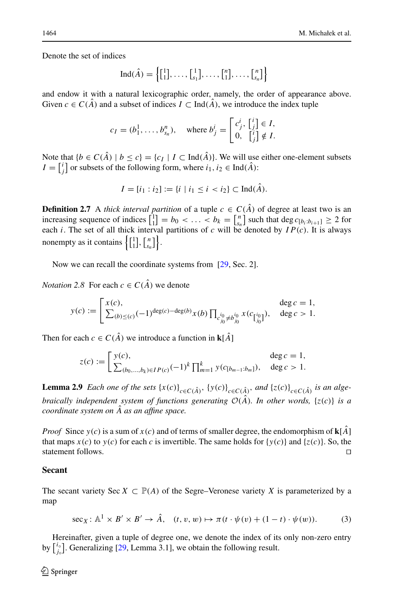Denote the set of indices

$$
\operatorname{Ind}(\hat{A}) = \left\{ \begin{bmatrix} 1 \\ 1 \end{bmatrix}, \dots, \begin{bmatrix} 1 \\ s_1 \end{bmatrix}, \dots, \begin{bmatrix} n \\ 1 \end{bmatrix}, \dots, \begin{bmatrix} n \\ s_n \end{bmatrix} \right\}
$$

and endow it with a natural lexicographic order, namely, the order of appearance above. Given  $c \in C(\hat{A})$  and a subset of indices  $I \subset \text{Ind}(\hat{A})$ , we introduce the index tuple

$$
c_I = (b_1^1, \dots, b_{s_n}^n), \quad \text{where } b_j^i = \begin{bmatrix} c_j^i, \begin{bmatrix} i \\ j \end{bmatrix} \in I, \\ 0, \begin{bmatrix} i \\ j \end{bmatrix} \notin I.
$$

Note that  ${b \in C(\hat{A}) \mid b \leq c} = {c_I \mid I \subset \text{Ind}(\hat{A})}.$  We will use either one-element subsets  $I = \begin{bmatrix} i \\ j \end{bmatrix}$  or subsets of the following form, where  $i_1, i_2 \in \text{Ind}(\hat{A})$ :

$$
I = [i_1 : i_2] := \{i \mid i_1 \le i < i_2\} \subset \text{Ind}(\hat{A}).
$$

**Definition 2.7** A *thick interval partition* of a tuple  $c \in C(\hat{A})$  of degree at least two is an increasing sequence of indices  $\begin{bmatrix} 1 \ 1 \end{bmatrix} = b_0 < \dots < b_k = \begin{bmatrix} n \\ s_n \end{bmatrix}$  such that deg  $c_{[b_i:b_{i+1}]} \ge 2$  for each *i*. The set of all thick interval partitions of *c* will be denoted by  $IP(c)$ . It is always nonempty as it contains  $\left\{ \begin{bmatrix} 1 \\ 1 \end{bmatrix}, \begin{bmatrix} n \\ s_n \end{bmatrix} \right\}$ .

Now we can recall the coordinate systems from [\[29,](#page-20-3) Sec. 2].

*Notation* 2.8 For each  $c \in C(\hat{A})$  we denote

$$
y(c) := \begin{bmatrix} x(c), & \deg c = 1, \\ \sum_{(b) \le (c)} (-1)^{\deg(c) - \deg(b)} x(b) \prod_{c_{j_0}^{i_0} \ne b_{j_0}^{i_0}} x(c_{\left[\begin{matrix} i_0 \\ j_0 \end{matrix}\right]}) & \deg c = 1,
$$

Then for each  $c \in C(\hat{A})$  we introduce a function in **k**[ $\hat{A}$ ]

$$
z(c) := \begin{cases} y(c), & \deg c = 1, \\ \sum_{(b_0, \dots, b_k) \in IP(c)} (-1)^k \prod_{m=1}^k y(c_{[b_{m-1}:b_m]}), & \deg c > 1. \end{cases}
$$

**Lemma 2.9** Each one of the sets  $\{x(c)\}_{c \in C(\hat{A})}$ ,  $\{y(c)\}_{c \in C(\hat{A})}$ , and  $\{z(c)\}_{c \in C(\hat{A})}$  is an alge*braically independent system of functions generating*  $\mathcal{O}(\hat{A})$ *. In other words,* {*z*(*c*)} *is a coordinate system on*  $\ddot{A}$  *as an affine space.* 

*Proof* Since  $y(c)$  is a sum of  $x(c)$  and of terms of smaller degree, the endomorphism of  $\mathbf{k}[A]$ that maps  $x(c)$  to  $y(c)$  for each *c* is invertible. The same holds for  $\{y(c)\}\$  and  $\{z(c)\}\$ . So, the statement follows.

#### **Secant**

The secant variety Sec  $X \subset \mathbb{P}(A)$  of the Segre–Veronese variety X is parameterized by a map

<span id="page-7-1"></span><span id="page-7-0"></span>
$$
\sec_X: \mathbb{A}^1 \times B' \times B' \to \hat{A}, \quad (t, v, w) \mapsto \pi(t \cdot \psi(v) + (1 - t) \cdot \psi(w)). \tag{3}
$$

Hereinafter, given a tuple of degree one, we denote the index of its only non-zero entry by  $\begin{bmatrix} i_{\circ} \\ j_{\circ} \end{bmatrix}$ . Generalizing [\[29,](#page-20-3) Lemma 3.1], we obtain the following result.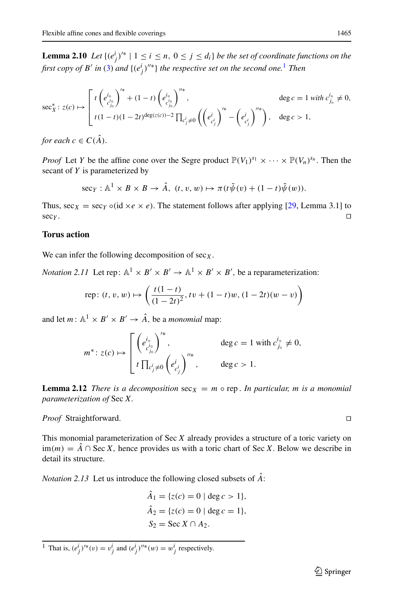**Lemma 2.10** *Let*  $\{(e_j^i)^{i*} \mid 1 \le i \le n, 0 \le j \le d_i\}$  *be the set of coordinate functions on the first copy of B' in* [\(3\)](#page-7-0) *and*  $\{(e_j^i)^{l' *}\}$  *the respective set on the second one.*<sup>[1](#page-8-0)</sup> *Then* 

$$
\sec_{X}^{*}: z(c) \mapsto \begin{bmatrix} t \left( e_{c_{i_{0}}^{i_{0}}}^{i_{0}} \right)^{i_{*}} + (1-t) \left( e_{c_{j_{0}}^{i_{0}}}^{i_{0}} \right)^{i_{*}}, & \deg c = 1 \text{ with } c_{j_{0}}^{i_{0}} \neq 0, \\ t(1-t)(1-2t)^{\deg(z(c))-2} \prod_{c_{j}^{i} \neq 0} \left( \left( e_{c_{j}^{i}}^{i} \right)^{i_{*}} - \left( e_{c_{j}^{i}}^{i} \right)^{i_{*}} \right), & \deg c > 1, \end{bmatrix}
$$

*for each*  $c \in C(\hat{A})$ .

*Proof* Let *Y* be the affine cone over the Segre product  $\mathbb{P}(V_1)^{s_1} \times \cdots \times \mathbb{P}(V_n)^{s_n}$ . Then the secant of *Y* is parameterized by

$$
\sec_Y: \mathbb{A}^1 \times B \times B \to \hat{A}, \ (t, v, w) \mapsto \pi(t\tilde{\psi}(v) + (1-t)\tilde{\psi}(w)).
$$

Thus,  $\sec x = \sec y \circ (\mathrm{id} \times e \times e)$ . The statement follows after applying [\[29,](#page-20-3) Lemma 3.1] to  $\sec y$ .  $\mathsf{sec}_Y$ .

## **Torus action**

We can infer the following decomposition of  $sec<sub>X</sub>$ .

*Notation 2.11* Let rep:  $\mathbb{A}^1 \times \mathbb{B}' \times \mathbb{B}' \to \mathbb{A}^1 \times \mathbb{B}' \times \mathbb{B}'$ , be a reparameterization:

rep: 
$$
(t, v, w) \mapsto \left(\frac{t(1-t)}{(1-2t)^2}, tv + (1-t)w, (1-2t)(w-v)\right)
$$

and let  $m: \mathbb{A}^1 \times B' \times B' \to \hat{A}$ , be a *monomial* map:

$$
m^* \colon z(c) \mapsto \begin{bmatrix} \left(e_{c_{j_0}^{i_0}}^{i_0}\right)^{i_*}, & \text{deg } c = 1 \text{ with } c_{j_0}^{i_0} \neq 0, \\ t \prod_{c_j^{i} \neq 0} \left(e_{c_j^{i}}^{i}\right)^{i'_{i*}}, & \text{deg } c > 1. \end{bmatrix}
$$

**Lemma 2.12** *There is a decomposition*  $\sec x = m \circ \text{rep}$ . *In particular, m is a monomial parameterization of* Sec *X.*

*Proof* Straightforward. 

This monomial parameterization of Sec *X* already provides a structure of a toric variety on im(*m*) =  $\hat{A}$  ∩ Sec *X*, hence provides us with a toric chart of Sec *X*. Below we describe in detail its structure.

*Notation 2.13* Let us introduce the following closed subsets of *A*ˆ:

$$
\hat{A}_1 = \{z(c) = 0 \mid \deg c > 1\},\
$$
  
\n
$$
\hat{A}_2 = \{z(c) = 0 \mid \deg c = 1\},\
$$
  
\n
$$
S_2 = \text{Sec } X \cap A_2.
$$

<span id="page-8-0"></span><sup>1</sup> That is,  $(e_j^i)^{1*}(v) = v_j^i$  and  $(e_j^i)^{1*}(w) = w_j^i$  respectively.

$$
\Box
$$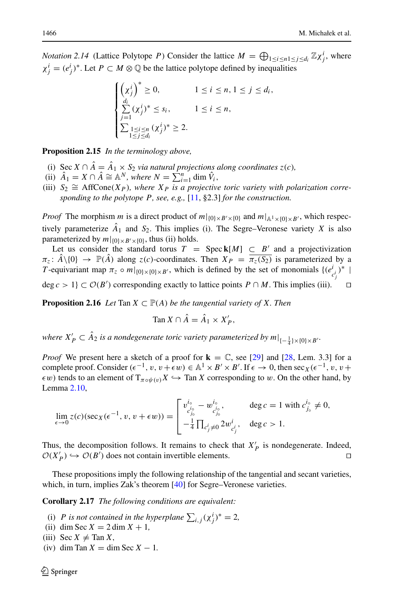*Notation 2.14* (Lattice Polytope *P*) Consider the lattice  $M = \bigoplus_{1 \le i \le n} \sum_{j \le d_i} \mathbb{Z} \chi^i_j$ , where  $\chi_j^i = (e_j^i)^*$ . Let  $P \subset M \otimes \mathbb{Q}$  be the lattice polytope defined by inequalities

$$
\begin{cases}\n\left(\chi_j^i\right)^* \geq 0, & 1 \leq i \leq n, 1 \leq j \leq d_i, \\
\sum_{j=1}^{d_i} (\chi_j^i)^* \leq s_i, & 1 \leq i \leq n, \\
\sum_{\substack{1 \leq i \leq n \\ 1 \leq j \leq d_i}} (\chi_j^i)^* \geq 2.\n\end{cases}
$$

<span id="page-9-0"></span>**Proposition 2.15** *In the terminology above,*

- (i) Sec  $X \cap \hat{A} = \hat{A}_1 \times S_2$  *via natural projections along coordinates*  $z(c)$ *,*
- (ii)  $\hat{A}_1 = X \cap \hat{A} \cong \mathbb{A}^N$ , where  $N = \sum_{i=1}^n \dim \hat{V}_i$ ,
- (iii)  $S_2 \cong \text{AffCone}(X_P)$ , where  $X_P$  is a projective toric variety with polarization corre*sponding to the polytope P, see, e.g.,* [\[11](#page-20-9), §2.3] *for the construction.*

*Proof* The morphism *m* is a direct product of  $m|_{\{0\} \times B' \times \{0\}}$  and  $m|_{\mathbb{A}^1 \times \{0\} \times B'}$ , which respectively parameterize  $\hat{A}_1$  and  $S_2$ . This implies (i). The Segre–Veronese variety *X* is also parameterized by  $m|_{\{0\}\times B'\times\{0\}}$ , thus (ii) holds.

Let us consider the standard torus  $T = \text{Spec } k[M] \subseteq B'$  and a projectivization  $\pi_z$ :  $\hat{A} \setminus \{0\} \to \mathbb{P}(\hat{A})$  along  $z(c)$ -coordinates. Then  $X_P = \overline{\pi_z(S_2)}$  is parameterized by a *T*-equivariant map  $\pi_z \circ m|_{\{0\} \times \{0\} \times B'}$ , which is defined by the set of monomials  $\{(e_{c_i^i}^i)^*$ *j* deg *c* > 1} ⊂  $O(B')$  corresponding exactly to lattice points  $P \cap M$ . This implies (iii).  $\Box$ 

<span id="page-9-1"></span>**Proposition 2.16** *Let* Tan  $X \subset \mathbb{P}(A)$  *be the tangential variety of* X. *Then* 

$$
\operatorname{Tan} X \cap \hat{A} = \hat{A}_1 \times X'_P,
$$

where  $X'_P \subset A_2$  is a nondegenerate toric variety parameterized by  $m|_{\{-\frac{1}{4}\} \times \{0\} \times B'}$ .

*Proof* We present here a sketch of a proof for  $\mathbf{k} = \mathbb{C}$ , see [\[29\]](#page-20-3) and [\[28,](#page-20-8) Lem. 3.3] for a complete proof. Consider  $(\epsilon^{-1}, v, v + \epsilon w) \in \mathbb{A}^1 \times B' \times B'$ . If  $\epsilon \to 0$ , then  $\sec x (\epsilon^{-1}, v, v + \epsilon w)$  $\epsilon w$ ) tends to an element of  $T_{\pi \circ \psi(v)}X \hookrightarrow$  Tan *X* corresponding to w. On the other hand, by Lemma [2.10,](#page-7-1)

$$
\lim_{\epsilon \to 0} z(c)(\sec x(\epsilon^{-1}, v, v + \epsilon w)) = \begin{bmatrix} v_{c_{j_0}}^{i_0} - w_{c_{j_0}}^{i_0}, & \deg c = 1 \text{ with } c_{j_0}^{i_0} \neq 0, \\ -\frac{1}{4} \prod_{c_j^i \neq 0} 2w_{c_j^i}^{i}, & \deg c > 1. \end{bmatrix}
$$

Thus, the decomposition follows. It remains to check that  $X'_{P}$  is nondegenerate. Indeed,  $\mathcal{O}(X'_{P}) \hookrightarrow \mathcal{O}(B')$  does not contain invertible elements.

These propositions imply the following relationship of the tangential and secant varieties, which, in turn, implies Zak's theorem [\[40](#page-21-2)] for Segre–Veronese varieties.

**Corollary 2.17** *The following conditions are equivalent:*

- (i) *P* is not contained in the hyperplane  $\sum_{i,j} (\chi_j^i)^* = 2$ ,
- (ii) dim Sec  $X = 2 \dim X + 1$ ,
- (iii) Sec  $X \neq \text{Tan } X$ ,
- (iv) dim Tan  $X = \dim \text{Sec } X 1$ .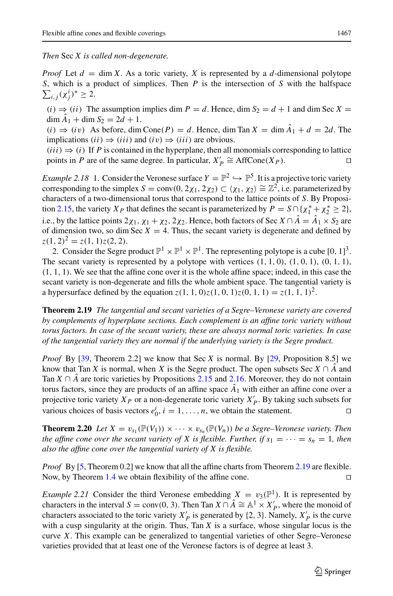*Then* Sec *X is called non-degenerate.*

*Proof* Let  $d = \dim X$ . As a toric variety, X is represented by a *d*-dimensional polytope  $\sum_{i,j} (\chi_j^i)^* \geq 2.$ *S*, which is a product of simplices. Then *P* is the intersection of *S* with the halfspace

 $(i) \Rightarrow (ii)$  The assumption implies dim  $P = d$ . Hence, dim  $S_2 = d + 1$  and dim Sec  $X =$  $\dim \hat{A}_1 + \dim S_2 = 2d + 1.$ 

 $(i) \Rightarrow (iv)$  As before, dim Cone $(P) = d$ . Hence, dim Tan  $X = \dim \hat{A}_1 + d = 2d$ . The implications (*ii*)  $\Rightarrow$  (*iii*) and (*iv*)  $\Rightarrow$  (*iii*) are obvious.

(*iii*)  $\Rightarrow$  (*i*) If *P* is contained in the hyperplane, then all monomials corresponding to lattice points in *P* are of the same degree. In particular,  $X'_n \cong AffCone(X_P)$ . points in *P* are of the same degree. In particular,  $X'_P \cong \text{AffCone}(X_P)$ .

*Example 2.18* 1. Consider the Veronese surface  $Y = \mathbb{P}^2 \hookrightarrow \mathbb{P}^5$ . It is a projective toric variety corresponding to the simplex  $S = \text{conv}(0, 2\chi_1, 2\chi_2) \subset \langle \chi_1, \chi_2 \rangle \cong \mathbb{Z}^2$ , i.e. parameterized by characters of a two-dimensional torus that correspond to the lattice points of *S*. By Proposi-tion [2.15,](#page-9-0) the variety  $X_P$  that defines the secant is parameterized by  $P = S \cap \{ \chi_1^* + \chi_2^* \ge 2 \}$ , i.e., by the lattice points  $2\chi_1$ ,  $\chi_1 + \chi_2$ ,  $2\chi_2$ . Hence, both factors of Sec *X*  $\cap$   $\hat{A} = \hat{A}_1 \times S_2$  are of dimension two, so dim Sec  $X = 4$ . Thus, the secant variety is degenerate and defined by  $z(1, 2)^2 = z(1, 1)z(2, 2).$ 

2. Consider the Segre product  $\mathbb{P}^1 \times \mathbb{P}^1 \times \mathbb{P}^1$ . The representing polytope is a cube  $[0, 1]^3$ . The secant variety is represented by a polytope with vertices  $(1, 1, 0)$ ,  $(1, 0, 1)$ ,  $(0, 1, 1)$ ,  $(1, 1, 1)$ . We see that the affine cone over it is the whole affine space; indeed, in this case the secant variety is non-degenerate and fills the whole ambient space. The tangential variety is a hypersurface defined by the equation  $z(1, 1, 0)z(1, 0, 1)z(0, 1, 1) = z(1, 1, 1)^2$ .

<span id="page-10-0"></span>**Theorem 2.19** *The tangential and secant varieties of a Segre–Veronese variety are covered by complements of hyperplane sections. Each complement is an affine toric variety without torus factors. In case of the secant variety, these are always normal toric varieties. In case of the tangential variety they are normal if the underlying variety is the Segre product.*

*Proof* By [\[39](#page-20-10), Theorem 2.2] we know that Sec *X* is normal. By [\[29](#page-20-3), Proposition 8.5] we know that Tan *X* is normal, when *X* is the Segre product. The open subsets Sec  $X \cap \hat{A}$  and Tan *X*  $\cap$  *A*<sup> $\hat{A}$ </sub> are toric varieties by Propositions [2.15](#page-9-0) and [2.16.](#page-9-1) Moreover, they do not contain</sup> torus factors, since they are products of an affine space  $\hat{A}_1$  with either an affine cone over a projective toric variety  $X_P$  or a non-degenerate toric variety  $X'_P$ . By taking such subsets for various choices of basis vectors  $e_0^i$ ,  $i = 1, \ldots, n$ , we obtain the statement.

**Theorem 2.20** *Let*  $X = v_{s_1}(\mathbb{P}(V_1)) \times \cdots \times v_{s_n}(\mathbb{P}(V_n))$  *be a Segre–Veronese variety. Then the affine cone over the secant variety of X is flexible. Further, if*  $s_1 = \cdots = s_n = 1$ *, then also the affine cone over the tangential variety of X is flexible.*

*Proof* By [\[5,](#page-19-1) Theorem 0.2] we know that all the affine charts from Theorem [2.19](#page-10-0) are flexible. Now, by Theorem [1.4](#page-3-0) we obtain flexibility of the affine cone.  $\Box$ 

*Example 2.21* Consider the third Veronese embedding  $X = v_3(\mathbb{P}^1)$ . It is represented by characters in the interval  $S = \text{conv}(0, 3)$ . Then Tan  $X \cap \hat{A} \cong \mathbb{A}^1 \times X_P'$ , where the monoid of characters associated to the toric variety  $X'_{P}$  is generated by {2, 3}. Namely,  $X'_{P}$  is the curve with a cusp singularity at the origin. Thus, Tan *X* is a surface, whose singular locus is the curve *X*. This example can be generalized to tangential varieties of other Segre–Veronese varieties provided that at least one of the Veronese factors is of degree at least 3.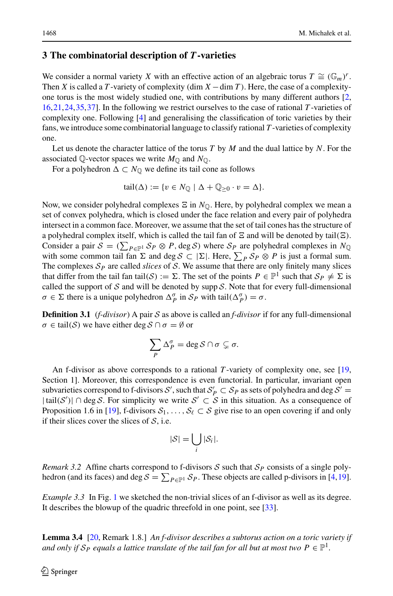# <span id="page-11-0"></span>**3 The combinatorial description of** *T***-varieties**

We consider a normal variety *X* with an effective action of an algebraic torus  $T \cong (\mathbb{G}_m)^r$ . Then *X* is called a *T* -variety of complexity (dim  $X - \dim T$ ). Here, the case of a complexityone torus is the most widely studied one, with contributions by many different authors [\[2,](#page-19-3) [16,](#page-20-11)[21](#page-20-12)[,24,](#page-20-13)[35](#page-20-14)[,37\]](#page-20-15). In the following we restrict ourselves to the case of rational *T* -varieties of complexity one. Following [\[4](#page-19-5)] and generalising the classification of toric varieties by their fans, we introduce some combinatorial language to classify rational *T* -varieties of complexity one.

Let us denote the character lattice of the torus *T* by *M* and the dual lattice by *N*. For the associated  $\mathbb{Q}$ -vector spaces we write  $M_{\mathbb{Q}}$  and  $N_{\mathbb{Q}}$ .

For a polyhedron  $\Delta \subset N_{\mathbb{Q}}$  we define its tail cone as follows

$$
tail(\Delta) := \{ v \in N_{\mathbb{Q}} \mid \Delta + \mathbb{Q}_{\geq 0} \cdot v = \Delta \}.
$$

Now, we consider polyhedral complexes  $\Xi$  in  $N_{\mathbb{Q}}$ . Here, by polyhedral complex we mean a set of convex polyhedra, which is closed under the face relation and every pair of polyhedra intersect in a common face. Moreover, we assume that the set of tail cones has the structure of a polyhedral complex itself, which is called the tail fan of  $\Xi$  and will be denoted by tail( $\Xi$ ). Consider a pair  $S = (\sum_{P \in \mathbb{P}^1} S_P \otimes P, \text{deg } S)$  where  $S_P$  are polyhedral complexes in  $N_{\mathbb{Q}}$ with some common tail fan  $\Sigma$  and deg  $S \subset |\Sigma|$ . Here,  $\sum_{P} S_P \otimes P$  is just a formal sum. The complexes  $S_p$  are called *slices* of *S*. We assume that there are only finitely many slices that differ from the tail fan tail(*S*) :=  $\Sigma$ . The set of the points  $P \in \mathbb{P}^1$  such that  $\mathcal{S}_P \neq \Sigma$  is called the support of  $S$  and will be denoted by supp  $S$ . Note that for every full-dimensional  $\sigma \in \Sigma$  there is a unique polyhedron  $\Delta_p^{\sigma}$  in  $\mathcal{S}_P$  with tail $(\Delta_p^{\sigma}) = \sigma$ .

**Definition 3.1** (*f-divisor*) A pair *S* as above is called an *f-divisor* if for any full-dimensional  $\sigma \in \text{tail}(\mathcal{S})$  we have either deg  $\mathcal{S} \cap \sigma = \emptyset$  or

$$
\sum_{P} \Delta_P^{\sigma} = \deg \mathcal{S} \cap \sigma \subsetneq \sigma.
$$

An f-divisor as above corresponds to a rational *T* -variety of complexity one, see [\[19,](#page-20-16) Section 1]. Moreover, this correspondence is even functorial. In particular, invariant open subvarieties correspond to f-divisors  $S'$ , such that  $S'_P \subset S_P$  as sets of polyhedra and deg  $S' =$  $|\text{tail}(\mathcal{S}')| \cap \text{deg }\mathcal{S}$ . For simplicity we write  $\mathcal{S}' \subset \mathcal{S}$  in this situation. As a consequence of Proposition 1.6 in [\[19](#page-20-16)], f-divisors  $S_1, \ldots, S_\ell \subset S$  give rise to an open covering if and only if their slices cover the slices of *S*, i.e.

$$
|\mathcal{S}| = \bigcup_i |\mathcal{S}_i|.
$$

*Remark 3.2* Affine charts correspond to f-divisors  $S$  such that  $S_P$  consists of a single polyhedron (and its faces) and deg  $S = \sum_{P \in \mathbb{P}^1} S_P$ . These objects are called p-divisors in [\[4](#page-19-5)[,19\]](#page-20-16).

<span id="page-11-2"></span>*Example 3.3* In Fig. [1](#page-12-0) we sketched the non-trivial slices of an f-divisor as well as its degree. It describes the blowup of the quadric threefold in one point, see [\[33\]](#page-20-17).

<span id="page-11-1"></span>**Lemma 3.4** [\[20](#page-20-18), Remark 1.8.] *An f-divisor describes a subtorus action on a toric variety if and only if*  $S_P$  *equals a lattice translate of the tail fan for all but at most two*  $P \in \mathbb{P}^1$ .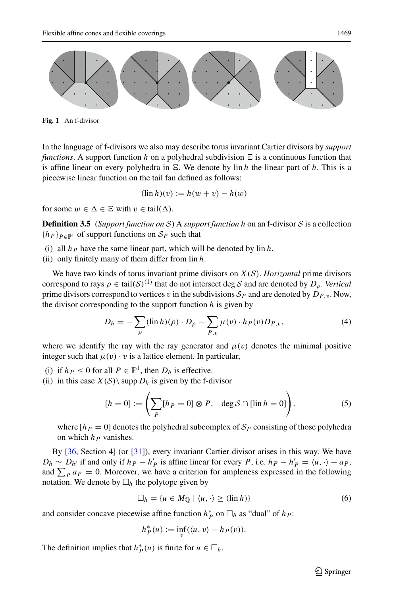

<span id="page-12-0"></span>**Fig. 1** An f-divisor

In the language of f-divisors we also may describe torus invariant Cartier divisors by *support functions*. A support function h on a polyhedral subdivision  $\Xi$  is a continuous function that is affine linear on every polyhedra in  $\Xi$ . We denote by  $\text{lin } h$  the linear part of h. This is a piecewise linear function on the tail fan defined as follows:

$$
(\ln h)(v) := h(w + v) - h(w)
$$

for some  $w \in \Delta \in \Xi$  with  $v \in \text{tail}(\Delta)$ .

**Definition 3.5** (*Support function on*  $S$ ) A *support function h* on an f-divisor  $S$  is a collection  ${h_P}_{P \in \mathbb{P}^1}$  of support functions on  $S_P$  such that

- (i) all  $h_P$  have the same linear part, which will be denoted by  $\text{lin } h$ ,
- (ii) only finitely many of them differ from lin *h*.

We have two kinds of torus invariant prime divisors on *X*(*S*). *Horizontal* prime divisors correspond to rays  $\rho \in \text{tail}(\mathcal{S})^{(1)}$  that do not intersect deg *S* and are denoted by  $D_\rho$ . *Vertical* prime divisors correspond to vertices v in the subdivisions  $S_p$  and are denoted by  $D_{P,v}$ . Now, the divisor corresponding to the support function *h* is given by

<span id="page-12-1"></span>
$$
D_h = -\sum_{\rho} (\ln h)(\rho) \cdot D_{\rho} - \sum_{P,v} \mu(v) \cdot h_P(v) D_{P,v}, \tag{4}
$$

where we identify the ray with the ray generator and  $\mu(v)$  denotes the minimal positive integer such that  $\mu(v) \cdot v$  is a lattice element. In particular,

(i) if  $h_P \leq 0$  for all  $P \in \mathbb{P}^1$ , then  $D_h$  is effective.

(ii) in this case  $X(S) \$  supp  $D_h$  is given by the f-divisor

<span id="page-12-2"></span>
$$
[h = 0] := \left(\sum_{P} [h_P = 0] \otimes P, \quad \deg \mathcal{S} \cap [\lim h = 0]\right),\tag{5}
$$

where  $[h_P = 0]$  denotes the polyhedral subcomplex of  $S_P$  consisting of those polyhedra on which  $h_P$  vanishes.

By [\[36](#page-20-19), Section 4] (or [\[31](#page-20-20)]), every invariant Cartier divisor arises in this way. We have  $D_h \sim D_{h'}$  if and only if  $h_P - h'_P$  is affine linear for every *P*, i.e.  $h_P - h'_P = \langle u, \cdot \rangle + a_P$ , and  $\sum_{P} a_{P} = 0$ . Moreover, we have a criterion for ampleness expressed in the following notation. We denote by  $\Box_h$  the polytope given by

<span id="page-12-3"></span>
$$
\Box_h = \{ u \in M_{\mathbb{Q}} \mid \langle u, \cdot \rangle \ge (\lim h) \} \tag{6}
$$

and consider concave piecewise affine function  $h_P^*$  on  $\Box_h$  as "dual" of  $h_P$ :

$$
h_P^*(u) := \inf_v (\langle u, v \rangle - h_P(v)).
$$

<span id="page-12-4"></span>The definition implies that  $h_P^*(u)$  is finite for  $u \in \Box_h$ .

 $\circled{2}$  Springer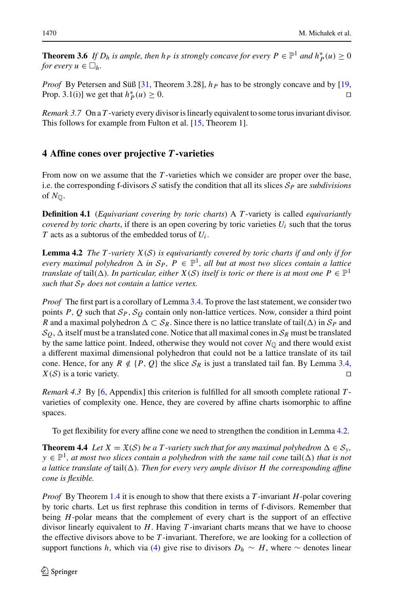**Theorem 3.6** *If*  $D_h$  *is ample, then h*  $_P$  *is strongly concave for every*  $P \in \mathbb{P}^1$  *and*  $h_P^*(u) \ge 0$ *for every*  $u \in \Box_h$ *.* 

*Proof* By Petersen and Süß [\[31](#page-20-20), Theorem 3.28],  $h<sub>P</sub>$  has to be strongly concave and by [\[19,](#page-20-16) Prop. 3.1(i)] we get that  $h_P^*(u) \ge 0$ .

<span id="page-13-2"></span>*Remark 3.7* On a *T* -variety every divisor is linearly equivalent to some torus invariant divisor. This follows for example from Fulton et al. [\[15,](#page-20-21) Theorem 1].

# <span id="page-13-0"></span>**4 Affine cones over projective** *T***-varieties**

From now on we assume that the *T* -varieties which we consider are proper over the base, i.e. the corresponding f-divisors  $S$  satisfy the condition that all its slices  $S<sub>P</sub>$  are *subdivisions* of  $N_{\mathbb{Q}}$ .

**Definition 4.1** (*Equivariant covering by toric charts*) A *T* -variety is called *equivariantly covered by toric charts*, if there is an open covering by toric varieties  $U_i$  such that the torus *T* acts as a subtorus of the embedded torus of *Ui* .

<span id="page-13-1"></span>**Lemma 4.2** *The T -variety X*(*S*) *is equivariantly covered by toric charts if and only if for every maximal polyhedron*  $\Delta$  *in*  $\mathcal{S}_P$ ,  $P \in \mathbb{P}^1$ , *all but at most two slices contain a lattice translate of tail*( $\Delta$ ). *In particular, either*  $X(S)$  *itself is toric or there is at most one*  $P \in \mathbb{P}^1$ *such that S<sup>P</sup> does not contain a lattice vertex.*

*Proof* The first part is a corollary of Lemma [3.4.](#page-11-1) To prove the last statement, we consider two points *P*, *Q* such that  $S_P$ ,  $S_Q$  contain only non-lattice vertices. Now, consider a third point R and a maximal polyhedron  $\Delta \subset S_R$ . Since there is no lattice translate of tail $(\Delta)$  in  $S_P$  and  $S_Q$ ,  $\Delta$  itself must be a translated cone. Notice that all maximal cones in  $S_R$  must be translated by the same lattice point. Indeed, otherwise they would not cover  $N_{\text{Q}}$  and there would exist a different maximal dimensional polyhedron that could not be a lattice translate of its tail cone. Hence, for any  $R \notin \{P, Q\}$  the slice  $S_R$  is just a translated tail fan. By Lemma [3.4,](#page-11-1)  $X(S)$  is a toric variety.

*Remark 4.3* By [\[6](#page-19-2), Appendix] this criterion is fulfilled for all smooth complete rational *T* varieties of complexity one. Hence, they are covered by affine charts isomorphic to affine spaces.

<span id="page-13-3"></span>To get flexibility for every affine cone we need to strengthen the condition in Lemma [4.2.](#page-13-1)

**Theorem 4.4** *Let*  $X = \mathfrak{X}(S)$  *be a T*-variety such that for any maximal polyhedron  $\Delta \in S_{\nu}$ ,  $y \in \mathbb{P}^1$ , at most two slices contain a polyhedron with the same tail cone tail( $\Delta$ ) that is not *a lattice translate of tail* $(\Delta)$ *. Then for every very ample divisor H the corresponding affine cone is flexible.*

*Proof* By Theorem [1.4](#page-3-0) it is enough to show that there exists a *T* -invariant *H*-polar covering by toric charts. Let us first rephrase this condition in terms of f-divisors. Remember that being *H*-polar means that the complement of every chart is the support of an effective divisor linearly equivalent to *H*. Having *T* -invariant charts means that we have to choose the effective divisors above to be *T* -invariant. Therefore, we are looking for a collection of support functions *h*, which via [\(4\)](#page-12-1) give rise to divisors  $D_h \sim H$ , where  $\sim$  denotes linear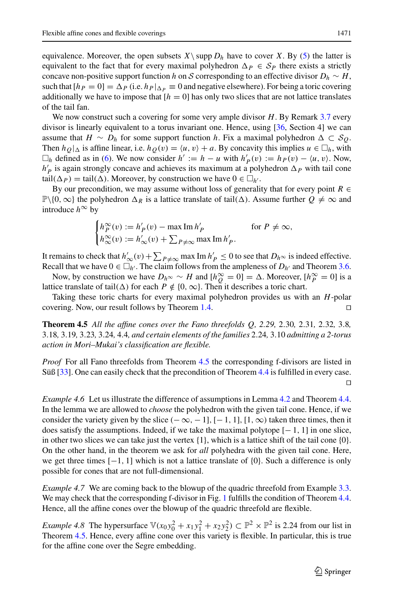equivalence. Moreover, the open subsets  $X\setminus$  supp  $D_h$  have to cover *X*. By [\(5\)](#page-12-2) the latter is equivalent to the fact that for every maximal polyhedron  $\Delta p \in S_p$  there exists a strictly concave non-positive support function *h* on *S* corresponding to an effective divisor  $D_h \sim H$ , such that  $[h_P = 0] = \Delta_P$  (i.e.  $h_P|_{\Delta_P} \equiv 0$  and negative elsewhere). For being a toric covering additionally we have to impose that  $[h = 0]$  has only two slices that are not lattice translates of the tail fan.

We now construct such a covering for some very ample divisor *H*. By Remark [3.7](#page-13-2) every divisor is linearly equivalent to a torus invariant one. Hence, using [\[36,](#page-20-19) Section 4] we can assume that  $H \sim D_h$  for some support function h. Fix a maximal polyhedron  $\Delta \subset S_O$ . Then  $h_Q|_{\Delta}$  is affine linear, i.e.  $h_Q(v) = \langle u, v \rangle + a$ . By concavity this implies  $u \in \Box_h$ , with  $□<sub>h</sub>$  defined as in [\(6\)](#page-12-3). We now consider *h*' := *h* − *u* with  $h'_P(v) := h_P(v) - \langle u, v \rangle$ . Now,  $h'_P$  is again strongly concave and achieves its maximum at a polyhedron  $\Delta_P$  with tail cone tail $(\Delta_P)$  = tail $(\Delta)$ . Moreover, by construction we have  $0 \in \Box_{h'}$ .

By our precondition, we may assume without loss of generality that for every point  $R \in$  $\mathbb{P}\setminus\{0,\infty\}$  the polyhedron  $\Delta_R$  is a lattice translate of tail( $\Delta$ ). Assume further  $Q \neq \infty$  and introduce  $h^{\infty}$  by

$$
\begin{cases} h_P^{\infty}(v) := h_P'(v) - \max \operatorname{Im} h_P' & \text{for } P \neq \infty, \\ h_{\infty}^{\infty}(v) := h_{\infty}'(v) + \sum_{P \neq \infty} \max \operatorname{Im} h_P'. \end{cases}
$$

It remains to check that  $h'_{\infty}(v) + \sum_{P \neq \infty} \max \operatorname{Im} h'_{P} \leq 0$  to see that  $D_h \infty$  is indeed effective. Recall that we have  $0 \in \Box_{h'}$ . The claim follows from the ampleness of  $D_{h'}$  and Theorem [3.6.](#page-12-4)

Now, by construction we have  $D_h \sim \sim H$  and  $[h_Q^{\infty} = 0] = \Delta$ . Moreover,  $[h_P^{\infty} = 0]$  is a lattice translate of tail( $\Delta$ ) for each *P*  $\notin$  {0,  $\infty$ }. Then it describes a toric chart.

Taking these toric charts for every maximal polyhedron provides us with an *H*-polar covering. Now, our result follows by Theorem [1.4.](#page-3-0) 

<span id="page-14-0"></span>**Theorem 4.5** *All the affine cones over the Fano threefolds Q, 2.29,* 2.30*,* 2.31*,* 2.32*,* 3.8*,* 3.18*,* 3.19*,* 3.23*,* 3.24*,* 4.4*, and certain elements of the families* 2.24*,* 3.10 *admitting a 2-torus action in Mori–Mukai's classification are flexible.*

*Proof* For all Fano threefolds from Theorem [4.5](#page-14-0) the corresponding f-divisors are listed in Süß [\[33](#page-20-17)]. One can easily check that the precondition of Theorem [4.4](#page-13-3) is fulfilled in every case.  $\Box$ 

*Example 4.6* Let us illustrate the difference of assumptions in Lemma [4.2](#page-13-1) and Theorem [4.4.](#page-13-3) In the lemma we are allowed to *choose* the polyhedron with the given tail cone. Hence, if we consider the variety given by the slice  $(-\infty, -1]$ ,  $[-1, 1]$ ,  $[1, \infty)$  taken three times, then it does satisfy the assumptions. Indeed, if we take the maximal polytope  $[-1, 1]$  in one slice, in other two slices we can take just the vertex  $\{1\}$ , which is a lattice shift of the tail cone  $\{0\}$ . On the other hand, in the theorem we ask for *all* polyhedra with the given tail cone. Here, we get three times  $[-1, 1]$  which is not a lattice translate of  $\{0\}$ . Such a difference is only possible for cones that are not full-dimensional.

*Example 4.7* We are coming back to the blowup of the quadric threefold from Example [3.3.](#page-11-2) We may check that the corresponding f-divisor in Fig. [1](#page-12-0) fulfills the condition of Theorem [4.4.](#page-13-3) Hence, all the affine cones over the blowup of the quadric threefold are flexible.

*Example 4.8* The hypersurface  $V(x_0y_0^2 + x_1y_1^2 + x_2y_2^2) \subset \mathbb{P}^2 \times \mathbb{P}^2$  is 2.24 from our list in Theorem [4.5.](#page-14-0) Hence, every affine cone over this variety is flexible. In particular, this is true for the affine cone over the Segre embedding.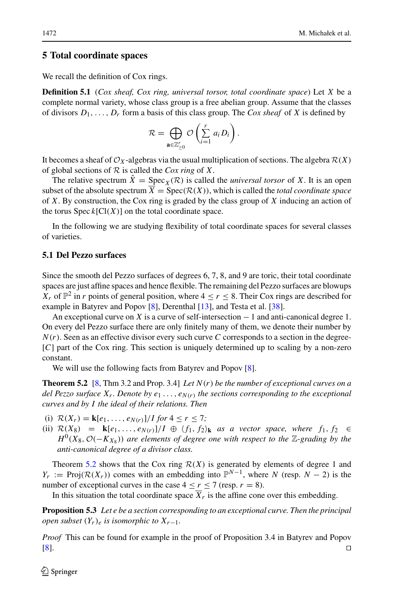### <span id="page-15-0"></span>**5 Total coordinate spaces**

We recall the definition of Cox rings.

**Definition 5.1** (*Cox sheaf, Cox ring, universal torsor, total coordinate space*) Let *X* be a complete normal variety, whose class group is a free abelian group. Assume that the classes of divisors  $D_1, \ldots, D_r$  form a basis of this class group. The *Cox sheaf* of *X* is defined by

$$
\mathcal{R} = \bigoplus_{\mathbf{a} \in \mathbb{Z}_{\geq 0}^r} \mathcal{O}\left(\sum_{i=1}^r a_i D_i\right).
$$

It becomes a sheaf of  $\mathcal{O}_X$ -algebras via the usual multiplication of sections. The algebra  $\mathcal{R}(X)$ of global sections of *R* is called the *Cox ring* of *X*.

The relative spectrum  $\hat{X} = \text{Spec}_X(\mathcal{R})$  is called the *universal torsor* of X. It is an open subset of the absolute spectrum  $\overline{X} = \text{Spec}(\mathcal{R}(X))$ , which is called the *total coordinate space* of *X*. By construction, the Cox ring is graded by the class group of *X* inducing an action of the torus  $Spec k[Cl(X)]$  on the total coordinate space.

In the following we are studying flexibility of total coordinate spaces for several classes of varieties.

## <span id="page-15-2"></span>**5.1 Del Pezzo surfaces**

Since the smooth del Pezzo surfaces of degrees 6, 7, 8, and 9 are toric, their total coordinate spaces are just affine spaces and hence flexible. The remaining del Pezzo surfaces are blowups  $X_r$  of  $\mathbb{P}^2$  in *r* points of general position, where  $4 \leq r \leq 8$ . Their Cox rings are described for example in Batyrev and Popov [\[8\]](#page-20-22), Derenthal [\[13\]](#page-20-23), and Testa et al. [\[38](#page-20-24)].

An exceptional curve on *X* is a curve of self-intersection − 1 and anti-canonical degree 1. On every del Pezzo surface there are only finitely many of them, we denote their number by  $N(r)$ . Seen as an effective divisor every such curve *C* corresponds to a section in the degree-[*C*] part of the Cox ring. This section is uniquely determined up to scaling by a non-zero constant.

<span id="page-15-1"></span>We will use the following facts from Batyrev and Popov [\[8\]](#page-20-22).

**Theorem 5.2** [\[8,](#page-20-22) Thm 3.2 and Prop. 3.4] *Let N*(*r*) *be the number of exceptional curves on a del Pezzo surface*  $X_r$ *. Denote by e*<sub>1</sub> ...,  $e_{N(r)}$  *the sections corresponding to the exceptional curves and by I the ideal of their relations. Then*

- (i)  $\mathcal{R}(X_r) = \mathbf{k}[e_1, \dots, e_{N(r)}]/I$  for  $4 \le r \le 7$ ;
- (ii)  $\mathcal{R}(X_8) = \mathbf{k}[e_1, \ldots, e_{N(r)}]/I \oplus \langle f_1, f_2 \rangle_k$  *as a vector space, where*  $f_1, f_2 \in$ *H*<sup>0</sup>(*X*<sub>8</sub>,  $\mathcal{O}(-K_{X_8})$ ) are elements of degree one with respect to the ∑-grading by the *anti-canonical degree of a divisor class.*

Theorem [5.2](#page-15-1) shows that the Cox ring  $R(X)$  is generated by elements of degree 1 and *Y<sub>r</sub>* := Proj( $\mathcal{R}(X_r)$ ) comes with an embedding into  $\mathbb{P}^{N-1}$ , where *N* (resp. *N* − 2) is the number of exceptional curves in the case  $4 \le r \le 7$  (resp.  $r = 8$ ).

In this situation the total coordinate space  $\overline{X}_r$  is the affine cone over this embedding.

**Proposition 5.3** *Let e be a section corresponding to an exceptional curve. Then the principal open subset*  $(Y_r)_e$  *is isomorphic to*  $X_{r-1}$ *.* 

*Proof* This can be found for example in the proof of Proposition 3.4 in Batyrev and Popov [\[8](#page-20-22)].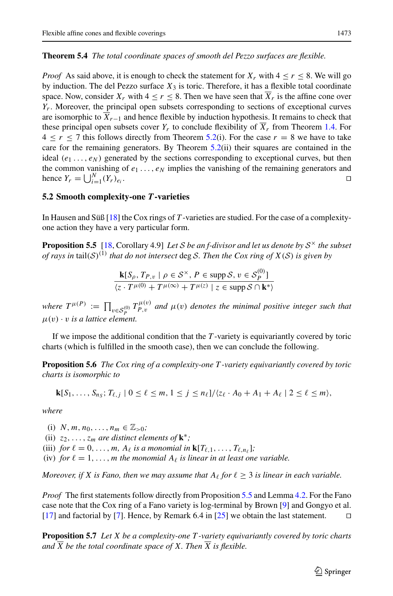### <span id="page-16-0"></span>**Theorem 5.4** *The total coordinate spaces of smooth del Pezzo surfaces are flexible.*

*Proof* As said above, it is enough to check the statement for  $X_r$  with  $4 \leq r \leq 8$ . We will go by induction. The del Pezzo surface  $X_3$  is toric. Therefore, it has a flexible total coordinate space. Now, consider  $X_r$  with  $4 \le r \le 8$ . Then we have seen that  $\overline{X}_r$  is the affine cone over *Y<sub>r</sub>*. Moreover, the principal open subsets corresponding to sections of exceptional curves are isomorphic to  $\overline{X}_{r-1}$  and hence flexible by induction hypothesis. It remains to check that these principal open subsets cover  $Y_r$  to conclude flexibility of  $\overline{X}_r$  from Theorem [1.4.](#page-3-0) For  $4 \le r \le 7$  this follows directly from Theorem [5.2\(](#page-15-1)i). For the case  $r = 8$  we have to take care for the remaining generators. By Theorem [5.2\(](#page-15-1)ii) their squares are contained in the ideal  $(e_1 \ldots, e_N)$  generated by the sections corresponding to exceptional curves, but then the common vanishing of  $e_1 \ldots, e_N$  implies the vanishing of the remaining generators and hence  $Y_r = \bigcup_{i=1}^N$  $\prod_{i=1}^{N} (Y_r)_{e_i}.$ 

### **5.2 Smooth complexity-one** *T***-varieties**

In Hausen and Süß [\[18](#page-20-25)] the Cox rings of *T* -varieties are studied. For the case of a complexityone action they have a very particular form.

**Proposition 5.5** [\[18,](#page-20-25) Corollary 4.9] *Let S be an f-divisor and let us denote by S*<sup>×</sup> *the subset of rays in* tail( $S$ )<sup>(1)</sup> *that do not intersect* deg *S. Then the Cox ring of*  $X(S)$  *is given by* 

<span id="page-16-2"></span><span id="page-16-1"></span>
$$
\frac{\mathbf{k}[S_{\rho}, T_{P,v} \mid \rho \in \mathcal{S}^{\times}, P \in \text{supp }\mathcal{S}, v \in \mathcal{S}_{P}^{(0)}]}{\langle z \cdot T^{\mu(0)} + T^{\mu(\infty)} + T^{\mu(z)} \mid z \in \text{supp }\mathcal{S} \cap \mathbf{k}^{*}\rangle}
$$

*where*  $T^{\mu(P)} := \prod_{v \in S_P^{(0)}} T_{P,v}^{\mu(v)}$  *and*  $\mu(v)$  *denotes the minimal positive integer such that*  $\mu(v) \cdot v$  *is a lattice element.* 

If we impose the additional condition that the *T* -variety is equivariantly covered by toric charts (which is fulfilled in the smooth case), then we can conclude the following.

**Proposition 5.6** *The Cox ring of a complexity-one T -variety equivariantly covered by toric charts is isomorphic to*

$$
\mathbf{k}[S_1,\ldots,S_{n_S};T_{\ell,j}\mid 0\leq \ell\leq m, 1\leq j\leq n_\ell]/\langle z_\ell\cdot A_0+A_1+A_\ell\mid 2\leq \ell\leq m\rangle,
$$

*where*

(i) *N*, *m*, *n*<sub>0</sub>, ...,  $n_m \in \mathbb{Z}_{>0}$ ; (ii)  $z_2, \ldots, z_m$  *are distinct elements of*  $\mathbf{k}^*$ ; (iii) *for*  $\ell = 0, \ldots, m$ ,  $A_{\ell}$  *is a monomial in*  $\mathbf{k}[T_{\ell,1}, \ldots, T_{\ell,n_{\ell}}]$ ; (iv) *for*  $\ell = 1, \ldots, m$  *the monomial*  $A_{\ell}$  *is linear in at least one variable.* 

*Moreover, if X is Fano, then we may assume that*  $A_\ell$  *for*  $\ell \geq 3$  *is linear in each variable.* 

*Proof* The first statements follow directly from Proposition [5.5](#page-16-1) and Lemma [4.2.](#page-13-1) For the Fano case note that the Cox ring of a Fano variety is log-terminal by Brown [\[9\]](#page-20-26) and Gongyo et al. [\[17\]](#page-20-27) and factorial by [\[7\]](#page-19-6). Hence, by Remark 6.4 in [\[25](#page-20-28)] we obtain the last statement.

<span id="page-16-3"></span>**Proposition 5.7** *Let X be a complexity-one T -variety equivariantly covered by toric charts and*  $\overline{X}$  *be the total coordinate space of* X. Then  $\overline{X}$  *is flexible.*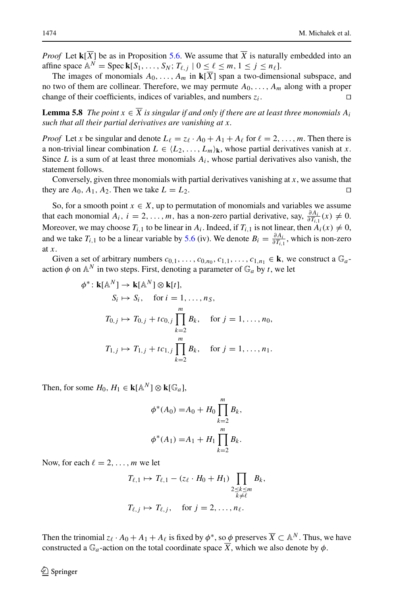*Proof* Let  $\mathbf{k}[\overline{X}]$  be as in Proposition [5.6.](#page-16-2) We assume that  $\overline{X}$  is naturally embedded into an affine space  $\mathbb{A}^N = \operatorname{Spec} \mathbf{k}[S_1,\ldots,S_N; T_{\ell,j} | 0 \leq \ell \leq m, 1 \leq j \leq n_\ell].$ 

The images of monomials  $A_0, \ldots, A_m$  in  $\mathbf{k}[\overline{X}]$  span a two-dimensional subspace, and no two of them are collinear. Therefore, we may permute  $A_0$ , ...,  $A_m$  along with a proper change of their coefficients, indices of variables, and numbers  $z_i$ .

**Lemma 5.8** *The point*  $x \in \overline{X}$  *is singular if and only if there are at least three monomials*  $A_i$ *such that all their partial derivatives are vanishing at x.*

*Proof* Let *x* be singular and denote  $L_{\ell} = z_{\ell} \cdot A_0 + A_1 + A_{\ell}$  for  $\ell = 2, ..., m$ . Then there is a non-trivial linear combination  $L \in \{L_2, \ldots, L_m\}_k$ , whose partial derivatives vanish at *x*. Since  $L$  is a sum of at least three monomials  $A_i$ , whose partial derivatives also vanish, the statement follows.

Conversely, given three monomials with partial derivatives vanishing at *x*, we assume that they are  $A_0$ ,  $A_1$ ,  $A_2$ . Then we take  $L = L_2$ .

So, for a smooth point  $x \in X$ , up to permutation of monomials and variables we assume that each monomial  $A_i$ ,  $i = 2, ..., m$ , has a non-zero partial derivative, say,  $\frac{\partial A_i}{\partial T_{i,1}}(x) \neq 0$ . Moreover, we may choose  $T_{i,1}$  to be linear in  $A_i$ . Indeed, if  $T_{i,1}$  is not linear, then  $A_i(x) \neq 0$ , and we take  $T_{i,1}$  to be a linear variable by [5.6](#page-16-2) (iv). We denote  $B_i = \frac{\partial A_i}{\partial T_{i,1}}$ , which is non-zero at *x*.

Given a set of arbitrary numbers  $c_{0,1}, \ldots, c_{0,n_0}, c_{1,1}, \ldots, c_{1,n_1} \in \mathbf{k}$ , we construct a  $\mathbb{G}_a$ action  $\phi$  on  $\mathbb{A}^N$  in two steps. First, denoting a parameter of  $\mathbb{G}_a$  by *t*, we let

$$
\phi^* : \mathbf{k}[\mathbb{A}^N] \to \mathbf{k}[\mathbb{A}^N] \otimes \mathbf{k}[t],
$$
  
\n
$$
S_i \mapsto S_i, \quad \text{for } i = 1, ..., n_S,
$$
  
\n
$$
T_{0,j} \mapsto T_{0,j} + tc_{0,j} \prod_{k=2}^m B_k, \quad \text{for } j = 1, ..., n_0,
$$
  
\n
$$
T_{1,j} \mapsto T_{1,j} + tc_{1,j} \prod_{k=2}^m B_k, \quad \text{for } j = 1, ..., n_1.
$$

Then, for some  $H_0$ ,  $H_1 \in \mathbf{k}[\mathbb{A}^N] \otimes \mathbf{k}[\mathbb{G}_a]$ ,

$$
\phi^*(A_0) = A_0 + H_0 \prod_{k=2}^m B_k,
$$
  

$$
\phi^*(A_1) = A_1 + H_1 \prod_{k=2}^m B_k.
$$

Now, for each  $\ell = 2, \ldots, m$  we let

$$
T_{\ell,1} \mapsto T_{\ell,1} - (z_{\ell} \cdot H_0 + H_1) \prod_{\substack{2 \le k \le m \\ k \neq \ell}} B_k,
$$
  

$$
T_{\ell,j} \mapsto T_{\ell,j}, \quad \text{for } j = 2, \dots, n_{\ell}.
$$

Then the trinomial  $z_{\ell} \cdot A_0 + A_1 + A_{\ell}$  is fixed by  $\phi^*$ , so  $\phi$  preserves  $\overline{X} \subset \mathbb{A}^N$ . Thus, we have constructed a  $\mathbb{G}_a$ -action on the total coordinate space  $\overline{X}$ , which we also denote by  $\phi$ .

 $\mathcal{L}$  Springer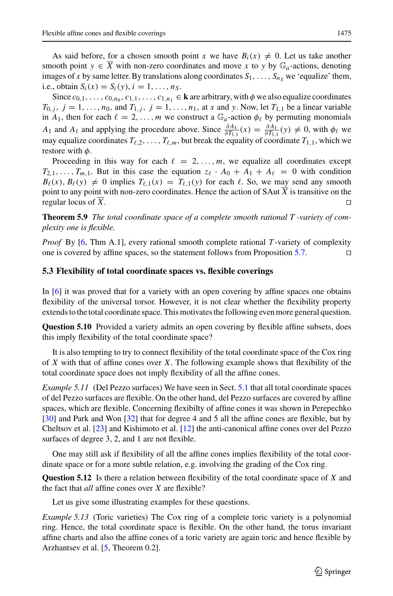As said before, for a chosen smooth point *x* we have  $B_i(x) \neq 0$ . Let us take another smooth point  $y \in \overline{X}$  with non-zero coordinates and move x to y by  $\mathbb{G}_a$ -actions, denoting images of *x* by same letter. By translations along coordinates  $S_1, \ldots, S_n$ , we 'equalize' them, i.e., obtain  $S_i(x) = S_i(y)$ ,  $i = 1, ..., n_S$ .

Since  $c_{0,1}, \ldots, c_{0,n_0}, c_{1,1}, \ldots, c_{1,n_1} \in \mathbf{k}$  are arbitrary, with  $\phi$  we also equalize coordinates *T*<sub>0</sub>, *j*, *j* = 1,..., *n*<sub>0</sub>, and *T*<sub>1</sub>, *j*, *j* = 1,..., *n*<sub>1</sub>, at *x* and *y*. Now, let *T*<sub>1,1</sub> be a linear variable in  $A_1$ , then for each  $\ell = 2, \ldots, m$  we construct a  $\mathbb{G}_a$ -action  $\phi_\ell$  by permuting monomials *A*<sub>1</sub> and *A*<sub> $\ell$ </sub> and applying the procedure above. Since  $\frac{\partial A_1}{\partial T_{1,1}}(x) = \frac{\partial A_1}{\partial T_{1,1}}(y) \neq 0$ , with  $\phi_{\ell}$  we may equalize coordinates  $T_{\ell,2},\ldots,T_{\ell,m}$ , but break the equality of coordinate  $T_{1,1}$ , which we restore with  $\phi$ .

Proceeding in this way for each  $\ell = 2, \ldots, m$ , we equalize all coordinates except  $T_{2,1}, \ldots, T_{m,1}$ . But in this case the equation  $z_{\ell} \cdot A_0 + A_1 + A_{\ell} = 0$  with condition  $B_{\ell}(x)$ ,  $B_{\ell}(y) \neq 0$  implies  $T_{\ell,1}(x) = T_{\ell,1}(y)$  for each  $\ell$ . So, we may send any smooth point to any point with non-zero coordinates. Hence the action of SAut  $\overline{X}$  is transitive on the regular locus of *X*. 

<span id="page-18-0"></span>**Theorem 5.9** *The total coordinate space of a complete smooth rational T -variety of complexity one is flexible.*

*Proof* By [\[6](#page-19-2), Thm A.1], every rational smooth complete rational *T* -variety of complexity one is covered by affine spaces, so the statement follows from Proposition  $5.7$ .

### **5.3 Flexibility of total coordinate spaces vs. flexible coverings**

In [\[6](#page-19-2)] it was proved that for a variety with an open covering by affine spaces one obtains flexibility of the universal torsor. However, it is not clear whether the flexibility property extends to the total coordinate space. This motivates the following even more general question.

**Question 5.10** Provided a variety admits an open covering by flexible affine subsets, does this imply flexibility of the total coordinate space?

It is also tempting to try to connect flexibility of the total coordinate space of the Cox ring of *X* with that of affine cones over *X*. The following example shows that flexibility of the total coordinate space does not imply flexibility of all the affine cones.

*Example [5.1](#page-15-2)1* (Del Pezzo surfaces) We have seen in Sect. 5.1 that all total coordinate spaces of del Pezzo surfaces are flexible. On the other hand, del Pezzo surfaces are covered by affine spaces, which are flexible. Concerning flexibilty of affine cones it was shown in Perepechko [\[30\]](#page-20-0) and Park and Won [\[32](#page-20-29)] that for degree 4 and 5 all the affine cones are flexible, but by Cheltsov et al. [\[23\]](#page-20-30) and Kishimoto et al. [\[12](#page-20-31)] the anti-canonical affine cones over del Pezzo surfaces of degree 3, 2, and 1 are not flexible.

One may still ask if flexibility of all the affine cones implies flexibility of the total coordinate space or for a more subtle relation, e.g. involving the grading of the Cox ring.

**Question 5.12** Is there a relation between flexibility of the total coordinate space of *X* and the fact that *all* affine cones over *X* are flexible?

Let us give some illustrating examples for these questions.

*Example 5.13* (Toric varieties) The Cox ring of a complete toric variety is a polynomial ring. Hence, the total coordinate space is flexible. On the other hand, the torus invariant affine charts and also the affine cones of a toric variety are again toric and hence flexible by Arzhantsev et al. [\[5](#page-19-1), Theorem 0.2].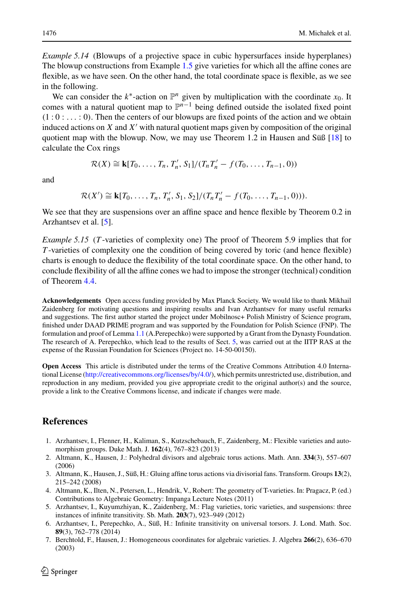*Example 5.14* (Blowups of a projective space in cubic hypersurfaces inside hyperplanes) The blowup constructions from Example [1.5](#page-3-3) give varieties for which all the affine cones are flexible, as we have seen. On the other hand, the total coordinate space is flexible, as we see in the following.

We can consider the  $k^*$ -action on  $\mathbb{P}^n$  given by multiplication with the coordinate  $x_0$ . It comes with a natural quotient map to  $\mathbb{P}^{n-1}$  being defined outside the isolated fixed point  $(1:0:...:0)$ . Then the centers of our blowups are fixed points of the action and we obtain induced actions on  $X$  and  $X'$  with natural quotient maps given by composition of the original quotient map with the blowup. Now, we may use Theorem 1.2 in Hausen and Süß [\[18\]](#page-20-25) to calculate the Cox rings

$$
\mathcal{R}(X) \cong \mathbf{k}[T_0, \ldots, T_n, T'_n, S_1]/(T_n T'_n - f(T_0, \ldots, T_{n-1}, 0))
$$

and

 $\mathcal{R}(X') \cong \mathbf{k}[T_0, \ldots, T_n, T'_n, S_1, S_2]/(T_n T'_n - f(T_0, \ldots, T_{n-1}, 0)).$ 

We see that they are suspensions over an affine space and hence flexible by Theorem 0.2 in Arzhantsev et al. [\[5](#page-19-1)].

*Example 5.15* (*T* -varieties of complexity one) The proof of Theorem 5.9 implies that for *T* -varieties of complexity one the condition of being covered by toric (and hence flexible) charts is enough to deduce the flexibility of the total coordinate space. On the other hand, to conclude flexibility of all the affine cones we had to impose the stronger (technical) condition of Theorem [4.4.](#page-13-3)

**Acknowledgements** Open access funding provided by Max Planck Society. We would like to thank Mikhail Zaidenberg for motivating questions and inspiring results and Ivan Arzhantsev for many useful remarks and suggestions. The first author started the project under Mobilnosc+ Polish Ministry of Science program, finished under DAAD PRIME program and was supported by the Foundation for Polish Science (FNP). The formulation and proof of Lemma [1.1](#page-2-1) (A.Perepechko) were supported by a Grant from the Dynasty Foundation. The research of A. Perepechko, which lead to the results of Sect. [5,](#page-15-0) was carried out at the IITP RAS at the expense of the Russian Foundation for Sciences (Project no. 14-50-00150).

**Open Access** This article is distributed under the terms of the Creative Commons Attribution 4.0 International License [\(http://creativecommons.org/licenses/by/4.0/\)](http://creativecommons.org/licenses/by/4.0/), which permits unrestricted use, distribution, and reproduction in any medium, provided you give appropriate credit to the original author(s) and the source, provide a link to the Creative Commons license, and indicate if changes were made.

# **References**

- <span id="page-19-0"></span>1. Arzhantsev, I., Flenner, H., Kaliman, S., Kutzschebauch, F., Zaidenberg, M.: Flexible varieties and automorphism groups. Duke Math. J. **162**(4), 767–823 (2013)
- <span id="page-19-3"></span>2. Altmann, K., Hausen, J.: Polyhedral divisors and algebraic torus actions. Math. Ann. **334**(3), 557–607 (2006)
- <span id="page-19-4"></span>3. Altmann, K., Hausen, J., Süß, H.: Gluing affine torus actions via divisorial fans. Transform. Groups **13**(2), 215–242 (2008)
- <span id="page-19-5"></span>4. Altmann, K., Ilten, N., Petersen, L., Hendrik, V., Robert: The geometry of T-varieties. In: Pragacz, P. (ed.) Contributions to Algebraic Geometry: Impanga Lecture Notes (2011)
- <span id="page-19-1"></span>5. Arzhantsev, I., Kuyumzhiyan, K., Zaidenberg, M.: Flag varieties, toric varieties, and suspensions: three instances of infinite transitivity. Sb. Math. **203**(7), 923–949 (2012)
- <span id="page-19-2"></span>6. Arzhantsev, I., Perepechko, A., Süß, H.: Infinite transitivity on universal torsors. J. Lond. Math. Soc. **89**(3), 762–778 (2014)
- <span id="page-19-6"></span>7. Berchtold, F., Hausen, J.: Homogeneous coordinates for algebraic varieties. J. Algebra **266**(2), 636–670 (2003)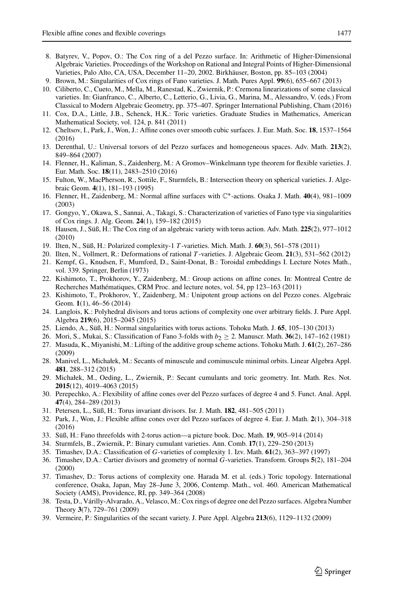- <span id="page-20-22"></span>8. Batyrev, V., Popov, O.: The Cox ring of a del Pezzo surface. In: Arithmetic of Higher-Dimensional Algebraic Varieties. Proceedings of the Workshop on Rational and Integral Points of Higher-Dimensional Varieties, Palo Alto, CA, USA, December 11–20, 2002. Birkhäuser, Boston, pp. 85–103 (2004)
- <span id="page-20-26"></span>9. Brown, M.: Singularities of Cox rings of Fano varieties. J. Math. Pures Appl. **99**(6), 655–667 (2013)
- <span id="page-20-2"></span>10. Ciliberto, C., Cueto, M., Mella, M., Ranestad, K., Zwiernik, P.: Cremona linearizations of some classical varieties. In: Gianfranco, C., Alberto, C., Letterio, G., Livia, G., Marina, M., Alessandro, V. (eds.) From Classical to Modern Algebraic Geometry, pp. 375–407. Springer International Publishing, Cham (2016)
- <span id="page-20-9"></span>11. Cox, D.A., Little, J.B., Schenck, H.K.: Toric varieties. Graduate Studies in Mathematics, American Mathematical Society, vol. 124, p. 841 (2011)
- <span id="page-20-31"></span>12. Cheltsov, I., Park, J., Won, J.: Affine cones over smooth cubic surfaces. J. Eur. Math. Soc. **18**, 1537–1564 (2016)
- <span id="page-20-23"></span>13. Derenthal, U.: Universal torsors of del Pezzo surfaces and homogeneous spaces. Adv. Math. **213**(2), 849–864 (2007)
- <span id="page-20-1"></span>14. Flenner, H., Kaliman, S., Zaidenberg, M.: A Gromov–Winkelmann type theorem for flexible varieties. J. Eur. Math. Soc. **18**(11), 2483–2510 (2016)
- <span id="page-20-21"></span>15. Fulton, W., MacPherson, R., Sottile, F., Sturmfels, B.: Intersection theory on spherical varieties. J. Algebraic Geom. **4**(1), 181–193 (1995)
- <span id="page-20-11"></span>16. Flenner, H., Zaidenberg, M.: Normal affine surfaces with C∗-actions. Osaka J. Math. **40**(4), 981–1009 (2003)
- <span id="page-20-27"></span>17. Gongyo, Y., Okawa, S., Sannai, A., Takagi, S.: Characterization of varieties of Fano type via singularities of Cox rings. J. Alg. Geom. **24**(1), 159–182 (2015)
- <span id="page-20-25"></span>18. Hausen, J., Süß, H.: The Cox ring of an algebraic variety with torus action. Adv. Math. **225**(2), 977–1012 (2010)
- <span id="page-20-16"></span>19. Ilten, N., Süß, H.: Polarized complexity-1 *T* -varieties. Mich. Math. J. **60**(3), 561–578 (2011)
- <span id="page-20-18"></span>20. Ilten, N., Vollmert, R.: Deformations of rational *T* -varieties. J. Algebraic Geom. **21**(3), 531–562 (2012)
- <span id="page-20-12"></span>21. Kempf, G., Knudsen, F., Mumford, D., Saint-Donat, B.: Toroidal embeddings I. Lecture Notes Math., vol. 339. Springer, Berlin (1973)
- <span id="page-20-7"></span>22. Kishimoto, T., Prokhorov, Y., Zaidenberg, M.: Group actions on affine cones. In: Montreal Centre de Recherches Mathématiques, CRM Proc. and lecture notes, vol. 54, pp 123–163 (2011)
- <span id="page-20-30"></span>23. Kishimoto, T., Prokhorov, Y., Zaidenberg, M.: Unipotent group actions on del Pezzo cones. Algebraic Geom. **1**(1), 46–56 (2014)
- <span id="page-20-13"></span>24. Langlois, K.: Polyhedral divisors and torus actions of complexity one over arbitrary fields. J. Pure Appl. Algebra **219**(6), 2015–2045 (2015)
- <span id="page-20-28"></span>25. Liendo, A., Süß, H.: Normal singularities with torus actions. Tohoku Math. J. **65**, 105–130 (2013)
- <span id="page-20-5"></span>26. Mori, S., Mukai, S.: Classification of Fano 3-folds with *b*<sup>2</sup> ≥ 2. Manuscr. Math. **36**(2), 147–162 (1981)
- <span id="page-20-6"></span>27. Masuda, K., Miyanishi, M.: Lifting of the additive group scheme actions. Tohoku Math. J. **61**(2), 267–286 (2009)
- <span id="page-20-8"></span>28. Manivel, L., Michałek, M.: Secants of minuscule and cominuscule minimal orbits. Linear Algebra Appl. **481**, 288–312 (2015)
- <span id="page-20-3"></span>29. Michałek, M., Oeding, L., Zwiernik, P.: Secant cumulants and toric geometry. Int. Math. Res. Not. **2015**(12), 4019–4063 (2015)
- <span id="page-20-0"></span>30. Perepechko, A.: Flexibility of affine cones over del Pezzo surfaces of degree 4 and 5. Funct. Anal. Appl. **47**(4), 284–289 (2013)
- <span id="page-20-20"></span>31. Petersen, L., Süß, H.: Torus invariant divisors. Isr. J. Math. **182**, 481–505 (2011)
- <span id="page-20-29"></span>32. Park, J., Won, J.: Flexible affine cones over del Pezzo surfaces of degree 4. Eur. J. Math. **2**(1), 304–318 (2016)
- <span id="page-20-17"></span>33. Süß, H.: Fano threefolds with 2-torus action—a picture book. Doc. Math. **19**, 905–914 (2014)
- <span id="page-20-4"></span>34. Sturmfels, B., Zwiernik, P.: Binary cumulant varieties. Ann. Comb. **17**(1), 229–250 (2013)
- <span id="page-20-14"></span>35. Timashev, D.A.: Classification of *G*-varieties of complexity 1. Izv. Math. **61**(2), 363–397 (1997)
- <span id="page-20-19"></span>36. Timashev, D.A.: Cartier divisors and geometry of normal *G*-varieties. Transform. Groups **5**(2), 181–204 (2000)
- <span id="page-20-15"></span>37. Timashev, D.: Torus actions of complexity one. Harada M. et al. (eds.) Toric topology. International conference, Osaka, Japan, May 28–June 3, 2006, Contemp. Math., vol. 460. American Mathematical Society (AMS), Providence, RI, pp. 349–364 (2008)
- <span id="page-20-24"></span>38. Testa, D., Várilly-Alvarado, A., Velasco, M.: Cox rings of degree one del Pezzo surfaces. Algebra Number Theory **3**(7), 729–761 (2009)
- <span id="page-20-10"></span>39. Vermeire, P.: Singularities of the secant variety. J. Pure Appl. Algebra **213**(6), 1129–1132 (2009)